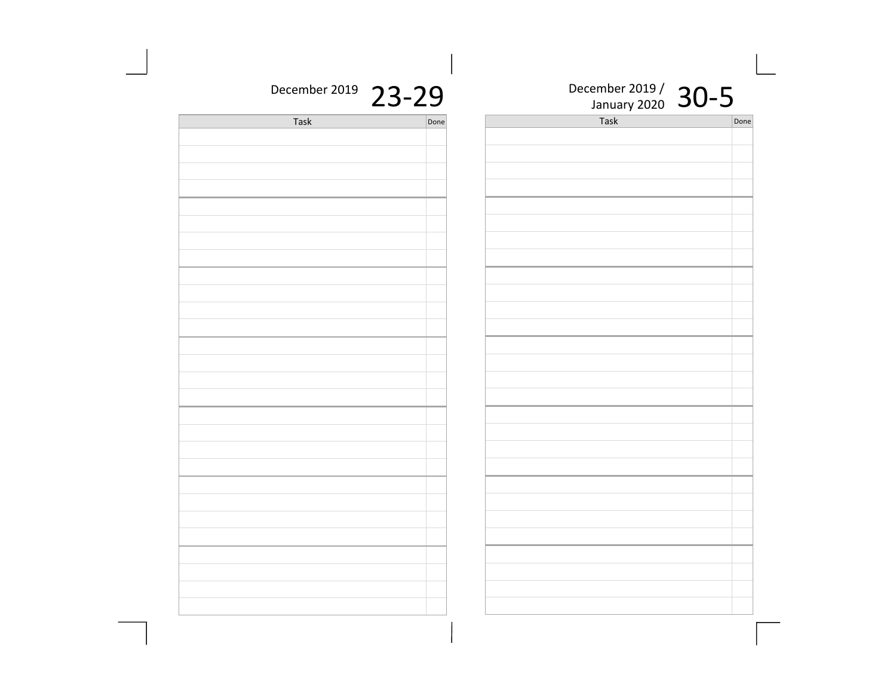|             |      | J. |                      |      |
|-------------|------|----|----------------------|------|
| $019$ 23-29 |      |    | December 2019 / 30-5 |      |
|             | Done |    | Task                 | Done |
|             |      |    |                      |      |
|             |      |    |                      |      |
|             |      |    |                      |      |
|             |      |    |                      |      |
|             |      |    |                      |      |
|             |      |    |                      |      |
|             |      |    |                      |      |
|             |      |    |                      |      |
|             |      |    |                      |      |
|             |      |    |                      |      |
|             |      |    |                      |      |
|             |      |    |                      |      |
|             |      |    |                      |      |
|             |      |    |                      |      |
|             |      |    |                      |      |
|             |      |    |                      |      |
|             |      |    |                      |      |
|             |      |    |                      |      |
|             |      |    |                      |      |
|             |      |    |                      |      |
|             |      |    |                      |      |
|             |      |    |                      |      |
|             |      |    |                      |      |
|             |      |    |                      |      |
|             |      |    |                      |      |
|             |      |    |                      |      |
|             |      |    |                      |      |
|             |      |    |                      |      |
|             |      |    |                      |      |
|             |      |    |                      |      |
|             |      |    |                      |      |
|             |      |    |                      |      |
|             |      |    |                      |      |
|             |      |    |                      |      |
|             |      |    |                      |      |
|             |      |    |                      |      |

December 20

| <b>Task</b> | Done |
|-------------|------|
|             |      |
|             |      |
|             |      |
|             |      |
|             |      |
|             |      |
|             |      |
|             |      |
|             |      |
|             |      |
|             |      |
|             |      |
|             |      |
|             |      |
|             |      |
|             |      |
|             |      |
|             |      |
|             |      |
|             |      |
|             |      |
|             |      |
|             |      |
|             |      |
|             |      |
|             |      |
|             |      |
|             |      |
|             |      |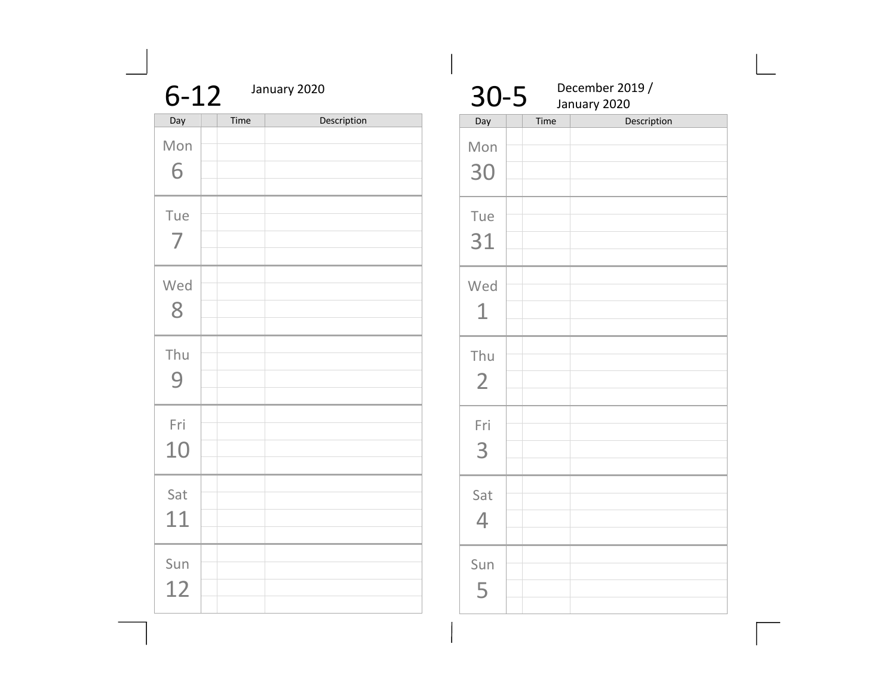|           | January 2020<br>$6 - 12$ |             |  |
|-----------|--------------------------|-------------|--|
| Day       | Time                     | Description |  |
| Mon<br>6  |                          |             |  |
| Tue<br>7  |                          |             |  |
| Wed<br>8  |                          |             |  |
| Thu<br>9  |                          |             |  |
| Fri<br>10 |                          |             |  |
| Sat<br>11 |                          |             |  |
| Sun<br>12 |                          |             |  |

| $30 - 5$              |      | December 2019 /<br>January 2020 |
|-----------------------|------|---------------------------------|
| Day                   | Time | Description                     |
| Mon<br>30             |      |                                 |
| Tue<br>31             |      |                                 |
| Wed<br>$\mathbf 1$    |      |                                 |
| Thu<br>$\overline{2}$ |      |                                 |
| Fri<br>3              |      |                                 |
| Sat<br>4              |      |                                 |
| Sun<br>5              |      |                                 |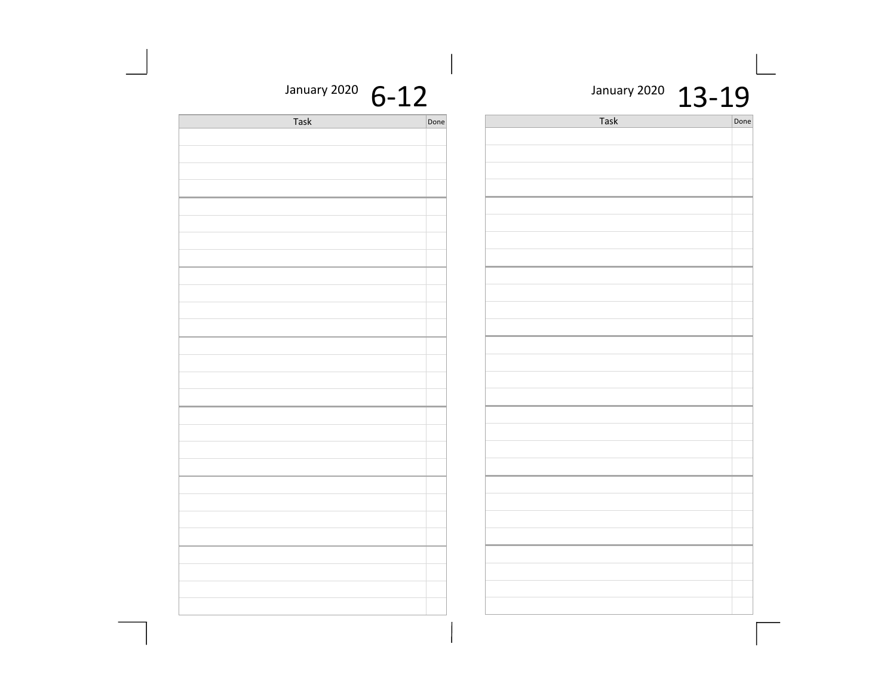January 2020  $13 - 19$ 

| January 2020 | $6 - 12$ |
|--------------|----------|
|--------------|----------|

| Task | Done |
|------|------|
|      |      |
|      |      |
|      |      |
|      |      |
|      |      |
|      |      |
|      |      |
|      |      |
|      |      |
|      |      |
|      |      |
|      |      |
|      |      |
|      |      |
|      |      |
|      |      |
|      |      |
|      |      |
|      |      |
|      |      |
|      |      |
|      |      |
|      |      |
|      |      |
|      |      |
|      |      |
|      |      |
|      |      |
|      |      |
|      |      |
|      |      |
|      |      |
|      |      |

| Task | Done |
|------|------|
|      |      |
|      |      |
|      |      |
|      |      |
|      |      |
|      |      |
|      |      |
|      |      |
|      |      |
|      |      |
|      |      |
|      |      |
|      |      |
|      |      |
|      |      |
|      |      |
|      |      |
|      |      |
|      |      |
|      |      |
|      |      |
|      |      |
|      |      |
|      |      |
|      |      |
|      |      |
|      |      |
|      |      |
|      |      |
|      |      |
|      |      |
|      |      |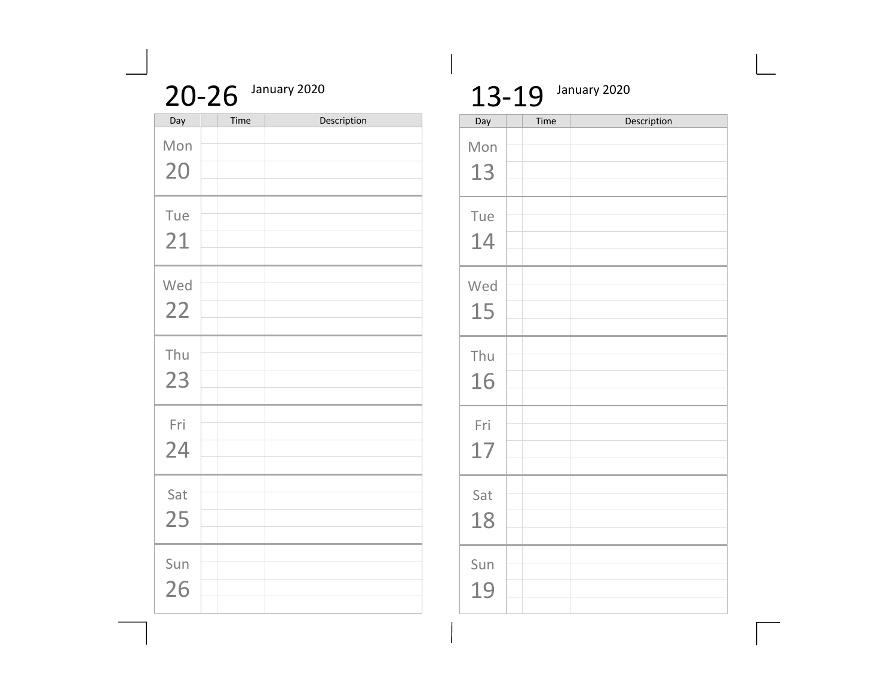| January 2020<br>$20 - 26$ |      |             |  |  |
|---------------------------|------|-------------|--|--|
| Day                       | Time | Description |  |  |
| Mon                       |      |             |  |  |
| 20                        |      |             |  |  |
| Tue                       |      |             |  |  |
| 21                        |      |             |  |  |
| Wed                       |      |             |  |  |
| 22                        |      |             |  |  |
| Thu                       |      |             |  |  |
| 23                        |      |             |  |  |
| Fri                       |      |             |  |  |
| 24                        |      |             |  |  |
| Sat                       |      |             |  |  |
| 25                        |      |             |  |  |
|                           |      |             |  |  |
| Sun                       |      |             |  |  |
| 26                        |      |             |  |  |

## 13-19 January 2020

| Day       | Time | Description |
|-----------|------|-------------|
| Mon<br>13 |      |             |
| Tue<br>14 |      |             |
| Wed<br>15 |      |             |
| Thu<br>16 |      |             |
| Fri<br>17 |      |             |
| Sat<br>18 |      |             |
| Sun<br>19 |      |             |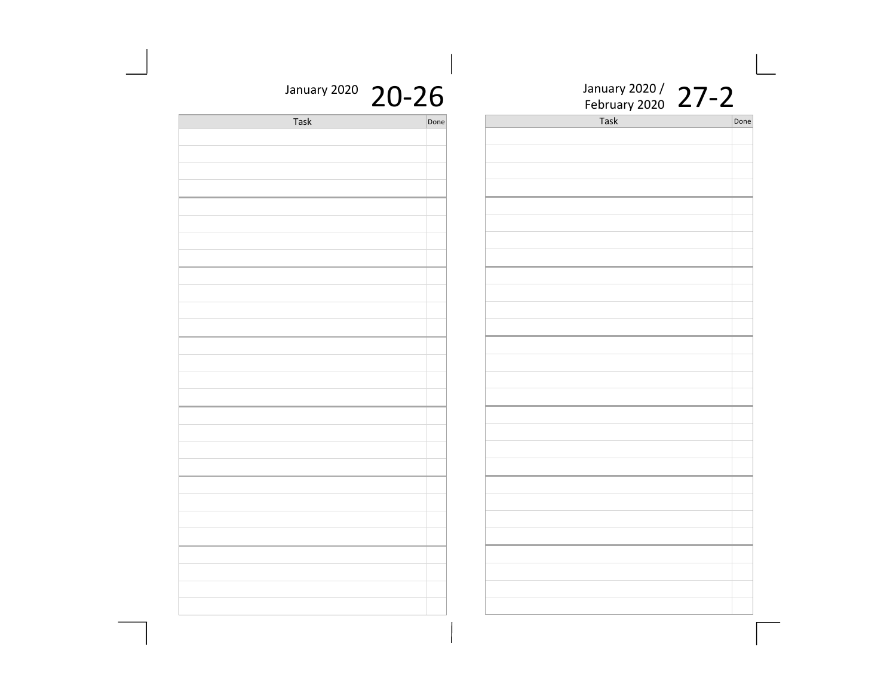| $-26$ | January 2020 / 27-2 |      |
|-------|---------------------|------|
| Done  | Task                | Done |
|       |                     |      |
|       |                     |      |
|       |                     |      |
|       |                     |      |
|       |                     |      |
|       |                     |      |
|       |                     |      |
|       |                     |      |
|       |                     |      |
|       |                     |      |
|       |                     |      |
|       |                     |      |
|       |                     |      |
|       |                     |      |
|       |                     |      |
|       |                     |      |
|       |                     |      |
|       |                     |      |
|       |                     |      |
|       |                     |      |
|       |                     |      |
|       |                     |      |
|       |                     |      |
|       |                     |      |
|       |                     |      |
|       |                     |      |
|       |                     |      |
|       |                     |      |
|       |                     |      |
|       |                     |      |
|       |                     |      |
|       |                     |      |

## January 2020 20-26

| Task | Done |
|------|------|
|      |      |
|      |      |
|      |      |
|      |      |
|      |      |
|      |      |
|      |      |
|      |      |
|      |      |
|      |      |
|      |      |
|      |      |
|      |      |
|      |      |
|      |      |
|      |      |
|      |      |
|      |      |
|      |      |
|      |      |
|      |      |
|      |      |
|      |      |
|      |      |
|      |      |
|      |      |
|      |      |
|      |      |
|      |      |
|      |      |
|      |      |
|      |      |
|      |      |
|      |      |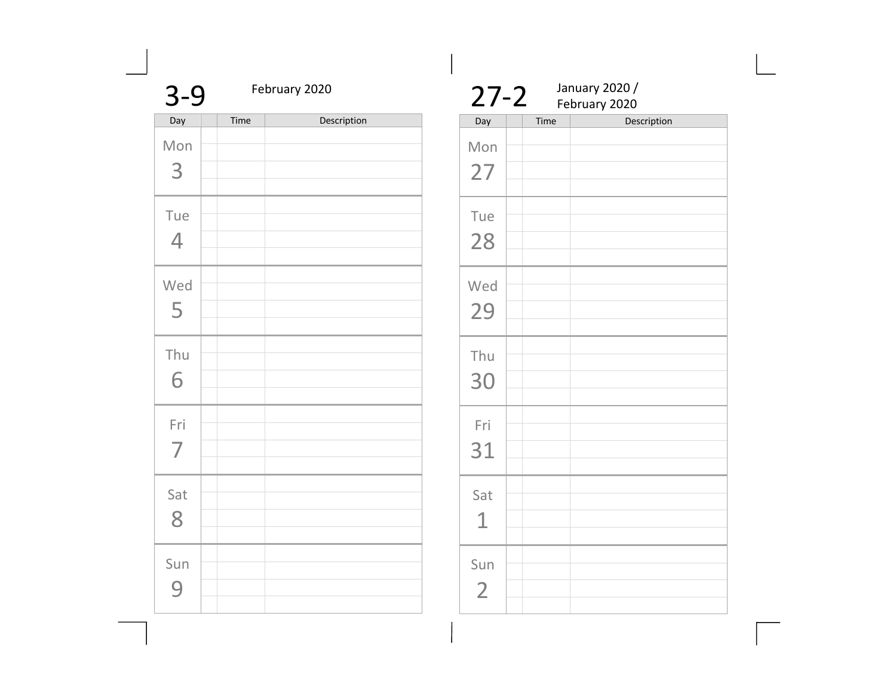| $3 - 9$               |      | February 2020 |  |  |
|-----------------------|------|---------------|--|--|
| Day                   | Time | Description   |  |  |
| Mon<br>3              |      |               |  |  |
| Tue<br>4              |      |               |  |  |
| Wed<br>5              |      |               |  |  |
| Thu<br>6              |      |               |  |  |
| Fri<br>$\overline{7}$ |      |               |  |  |
| Sat<br>8              |      |               |  |  |
| Sun<br>q              |      |               |  |  |

| $27 - 2$              |      | January 2020 /<br>February 2020 |
|-----------------------|------|---------------------------------|
| Day                   | Time | Description                     |
| Mon<br>27             |      |                                 |
| Tue<br>28             |      |                                 |
| Wed<br>29             |      |                                 |
| Thu<br>30             |      |                                 |
| Fri<br>31             |      |                                 |
| Sat<br>1              |      |                                 |
| Sun<br>$\overline{2}$ |      |                                 |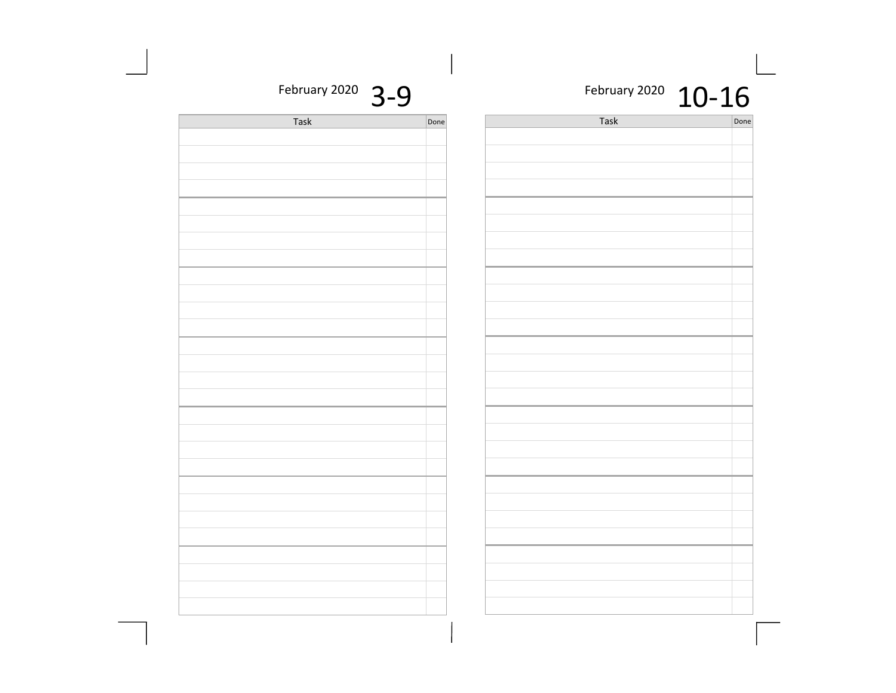| February 2020 $10-16$ |  |
|-----------------------|--|
|-----------------------|--|

| Done | Task | Done |
|------|------|------|
|      |      |      |
|      |      |      |
|      |      |      |
|      |      |      |
|      |      |      |
|      |      |      |
|      |      |      |
|      |      |      |
|      |      |      |
|      |      |      |
|      |      |      |
|      |      |      |
|      |      |      |
|      |      |      |
|      |      |      |
|      |      |      |
|      |      |      |
|      |      |      |
|      |      |      |
|      |      |      |
|      |      |      |
|      |      |      |
|      |      |      |
|      |      |      |
|      |      |      |
|      |      |      |
|      |      |      |
|      |      |      |
|      |      |      |
|      |      |      |
|      |      |      |
|      |      |      |

February 2020  $3-9$ 

| Task | Done |
|------|------|
|      |      |
|      |      |
|      |      |
|      |      |
|      |      |
|      |      |
|      |      |
|      |      |
|      |      |
|      |      |
|      |      |
|      |      |
|      |      |
|      |      |
|      |      |
|      |      |
|      |      |
|      |      |
|      |      |
|      |      |
|      |      |
|      |      |
|      |      |
|      |      |
|      |      |
|      |      |
|      |      |
|      |      |
|      |      |
|      |      |
|      |      |
|      |      |
|      |      |
|      |      |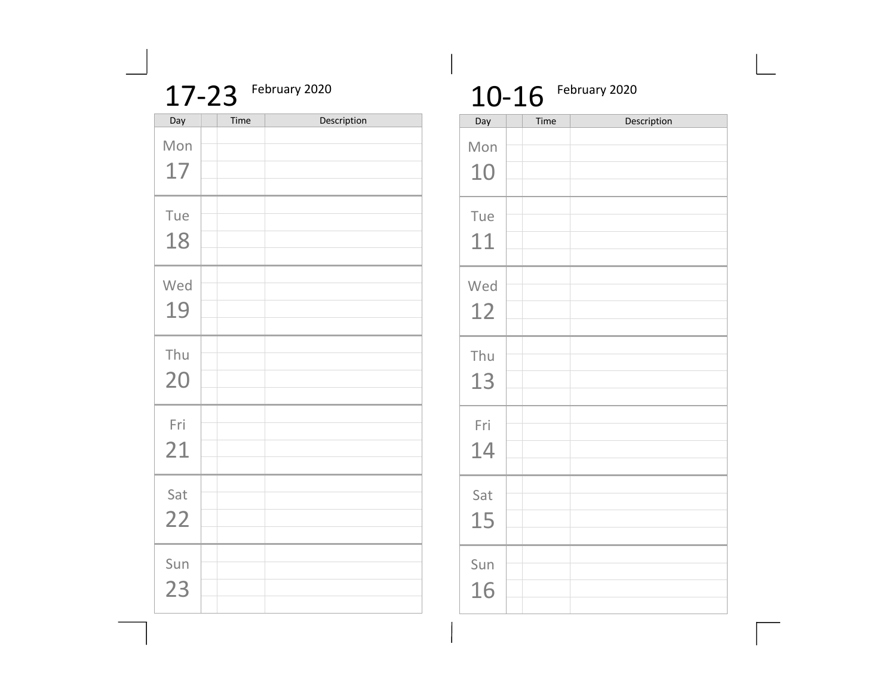| 17-23 February 2020 |
|---------------------|
|                     |

| Day | Time | Description |
|-----|------|-------------|
| Mon |      |             |
| 17  |      |             |
| Tue |      |             |
| 18  |      |             |
| Wed |      |             |
| 19  |      |             |
| Thu |      |             |
| 20  |      |             |
| Fri |      |             |
| 21  |      |             |
| Sat |      |             |
| 22  |      |             |
| Sun |      |             |
| 23  |      |             |

# 10-16 February 2020

| Day       | Time | Description |
|-----------|------|-------------|
| Mon<br>10 |      |             |
| Tue<br>11 |      |             |
| Wed<br>12 |      |             |
| Thu<br>13 |      |             |
| Fri<br>14 |      |             |
| Sat<br>15 |      |             |
| Sun<br>16 |      |             |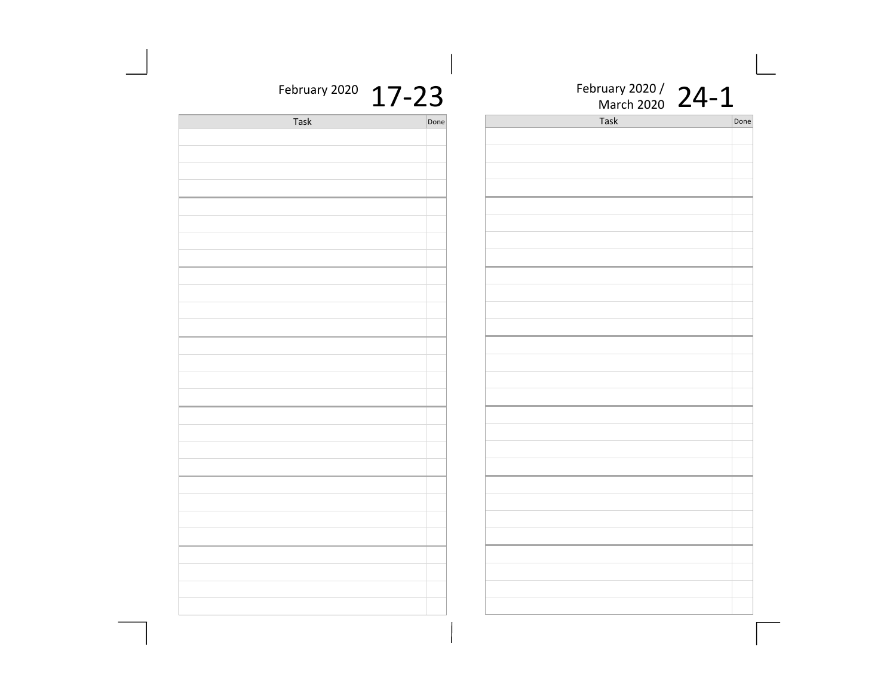| $7 - 23$ | February 2020 / 24-1 |      |
|----------|----------------------|------|
| Done     | Task                 | Done |
|          |                      |      |
|          |                      |      |
|          |                      |      |
|          |                      |      |
|          |                      |      |
|          |                      |      |
|          |                      |      |
|          |                      |      |
|          |                      |      |
|          |                      |      |
|          |                      |      |
|          |                      |      |
|          |                      |      |
|          |                      |      |
|          |                      |      |
|          |                      |      |
|          |                      |      |
|          |                      |      |
|          |                      |      |
|          |                      |      |
|          |                      |      |
|          |                      |      |
|          |                      |      |
|          |                      |      |
|          |                      |      |
|          |                      |      |
|          |                      |      |
|          |                      |      |
|          |                      |      |
|          |                      |      |
|          |                      |      |
|          |                      |      |
|          |                      |      |

## February 2020  $17$

| <b>Task</b> | Done |
|-------------|------|
|             |      |
|             |      |
|             |      |
|             |      |
|             |      |
|             |      |
|             |      |
|             |      |
|             |      |
|             |      |
|             |      |
|             |      |
|             |      |
|             |      |
|             |      |
|             |      |
|             |      |
|             |      |
|             |      |
|             |      |
|             |      |
|             |      |
|             |      |
|             |      |
|             |      |
|             |      |
|             |      |
|             |      |
|             |      |
|             |      |
|             |      |
|             |      |
|             |      |
|             |      |
|             |      |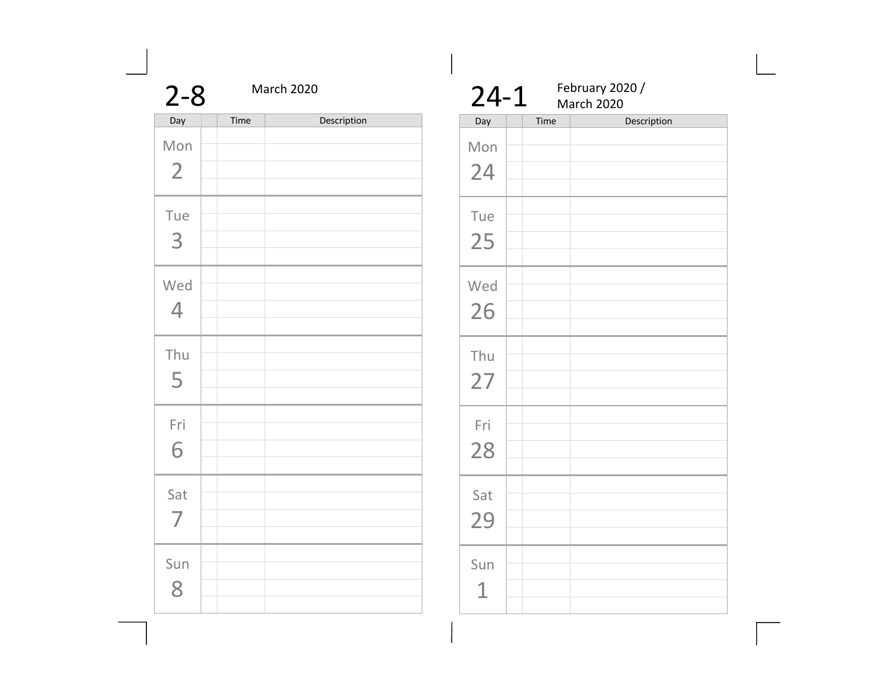| $2 - 8$               | March 2020 |             |  |
|-----------------------|------------|-------------|--|
| Day                   | Time       | Description |  |
| Mon<br>$\overline{2}$ |            |             |  |
| Tue<br>3              |            |             |  |
| Wed<br>$\overline{4}$ |            |             |  |
| Thu<br>5              |            |             |  |
| Fri<br>6              |            |             |  |
| Sat<br>$\overline{7}$ |            |             |  |
| Sun<br>8              |            |             |  |

|           | February 2020 /<br>$24-1$<br>March 2020 |             |  |
|-----------|-----------------------------------------|-------------|--|
| Day       | Time                                    | Description |  |
| Mon<br>24 |                                         |             |  |
| Tue<br>25 |                                         |             |  |
| Wed<br>26 |                                         |             |  |
| Thu<br>27 |                                         |             |  |
| Fri<br>28 |                                         |             |  |
| Sat<br>29 |                                         |             |  |
| Sun<br>1  |                                         |             |  |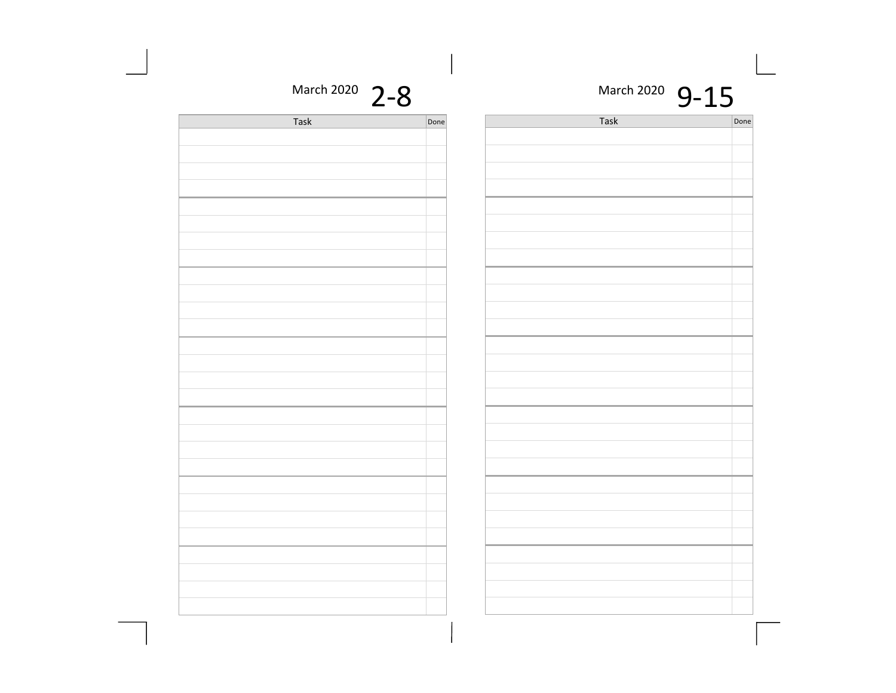| March 2020 2-8 |      | March 2020 9-15 |      |  |
|----------------|------|-----------------|------|--|
| Task           | Done | Task            | Done |  |
|                |      |                 |      |  |
|                |      |                 |      |  |
|                |      |                 |      |  |
|                |      |                 |      |  |
|                |      |                 |      |  |
|                |      |                 |      |  |
|                |      |                 |      |  |
|                |      |                 |      |  |
|                |      |                 |      |  |
|                |      |                 |      |  |
|                |      |                 |      |  |
|                |      |                 |      |  |
|                |      |                 |      |  |
|                |      |                 |      |  |
|                |      |                 |      |  |
|                |      |                 |      |  |
|                |      |                 |      |  |
|                |      |                 |      |  |
|                |      |                 |      |  |
|                |      |                 |      |  |
|                |      |                 |      |  |
|                |      |                 |      |  |
|                |      |                 |      |  |
|                |      |                 |      |  |
|                |      |                 |      |  |
|                |      |                 |      |  |
|                |      |                 |      |  |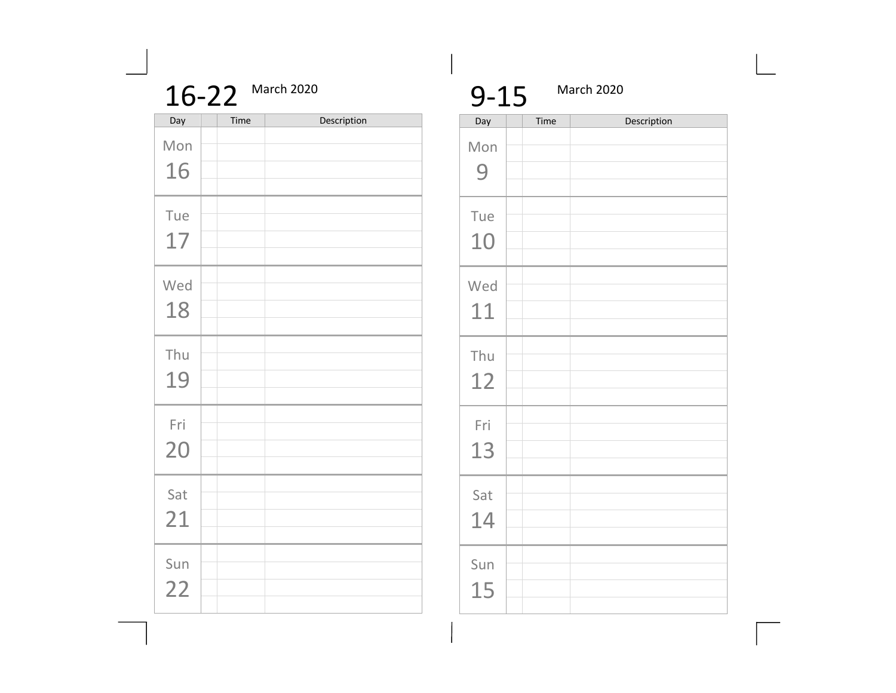|     | 16-22 | March 2020  |
|-----|-------|-------------|
| Day | Time  | Description |
| Mon |       |             |
| 16  |       |             |
| Tue |       |             |
| 17  |       |             |
| Wed |       |             |
| 18  |       |             |
| Thu |       |             |
| 19  |       |             |
| Fri |       |             |
| 20  |       |             |
| Sat |       |             |
| 21  |       |             |
| Sun |       |             |
| 22  |       |             |
|     |       |             |

| $9 - 15$ |      | March 2020  |
|----------|------|-------------|
| Day      | Time | Description |
| Mon      |      |             |
| 9        |      |             |
|          |      |             |
| Tue      |      |             |
| 10       |      |             |
|          |      |             |
| Wed      |      |             |
|          |      |             |
| 11       |      |             |
|          |      |             |
| Thu      |      |             |
| 12       |      |             |
|          |      |             |
| Fri      |      |             |
|          |      |             |
| 13       |      |             |
|          |      |             |
| Sat      |      |             |
|          |      |             |
| 14       |      |             |
|          |      |             |
| Sun      |      |             |
|          |      |             |
| 15       |      |             |
|          |      |             |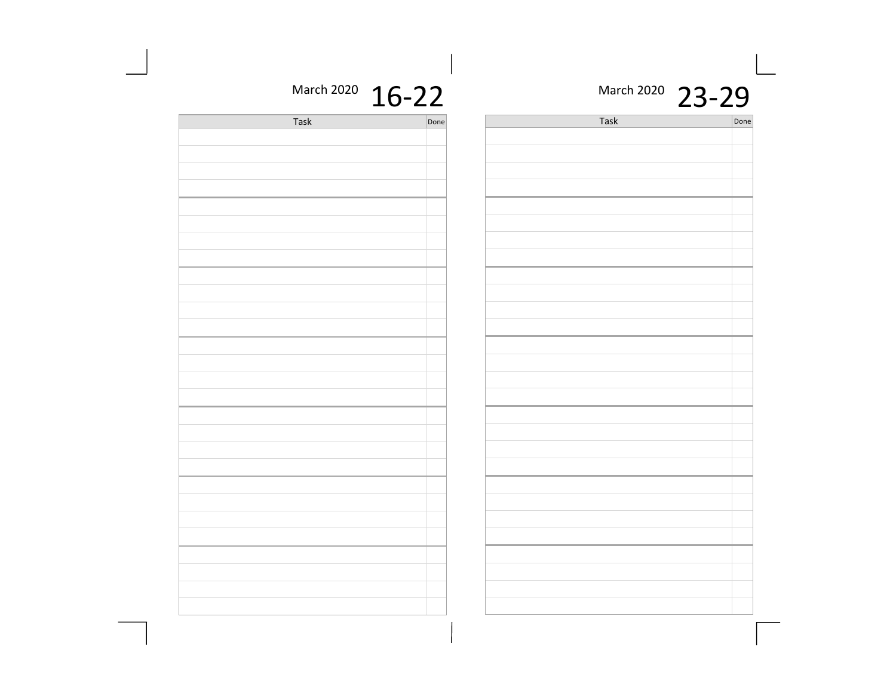#### March 2020 23-29

Task Done

<u> 1989 - Johann Barn, amerikansk politiker (</u>

| March 2020 16-22 |  |
|------------------|--|
|------------------|--|

| Task | Done |  |
|------|------|--|
|      |      |  |
|      |      |  |
|      |      |  |
|      |      |  |
|      |      |  |
|      |      |  |
|      |      |  |
|      |      |  |
|      |      |  |
|      |      |  |
|      |      |  |
|      |      |  |
|      |      |  |
|      |      |  |
|      |      |  |
|      |      |  |
|      |      |  |
|      |      |  |
|      |      |  |
|      |      |  |
|      |      |  |
|      |      |  |
|      |      |  |
|      |      |  |
|      |      |  |
|      |      |  |
|      |      |  |
|      |      |  |
|      |      |  |
|      |      |  |
|      |      |  |
|      |      |  |
|      |      |  |
|      |      |  |
|      |      |  |
|      |      |  |
|      |      |  |
|      |      |  |
|      |      |  |
|      |      |  |
|      |      |  |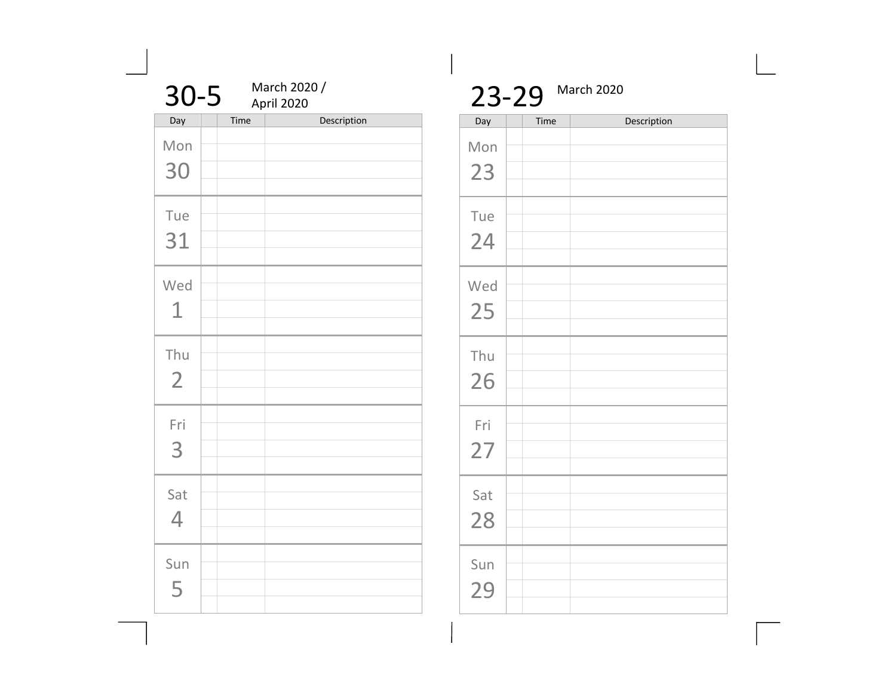| $30 - 5$              |      | March 2020 /<br>April 2020 |
|-----------------------|------|----------------------------|
| Day                   | Time | Description                |
| Mon<br>30             |      |                            |
| Tue<br>31             |      |                            |
| Wed<br>1              |      |                            |
| Thu<br>$\overline{2}$ |      |                            |
| Fri<br>3              |      |                            |
| Sat<br>4              |      |                            |
| Sun<br>5              |      |                            |

|     | 23-29 | March 2020  |
|-----|-------|-------------|
| Day | Time  | Description |
| Mon |       |             |
| 23  |       |             |
|     |       |             |
| Tue |       |             |
| 24  |       |             |
|     |       |             |
| Wed |       |             |
|     |       |             |
| 25  |       |             |
|     |       |             |
| Thu |       |             |
| 26  |       |             |
|     |       |             |
| Fri |       |             |
|     |       |             |
| 27  |       |             |
|     |       |             |
| Sat |       |             |
| 28  |       |             |
|     |       |             |
| Sun |       |             |
|     |       |             |
| 29  |       |             |
|     |       |             |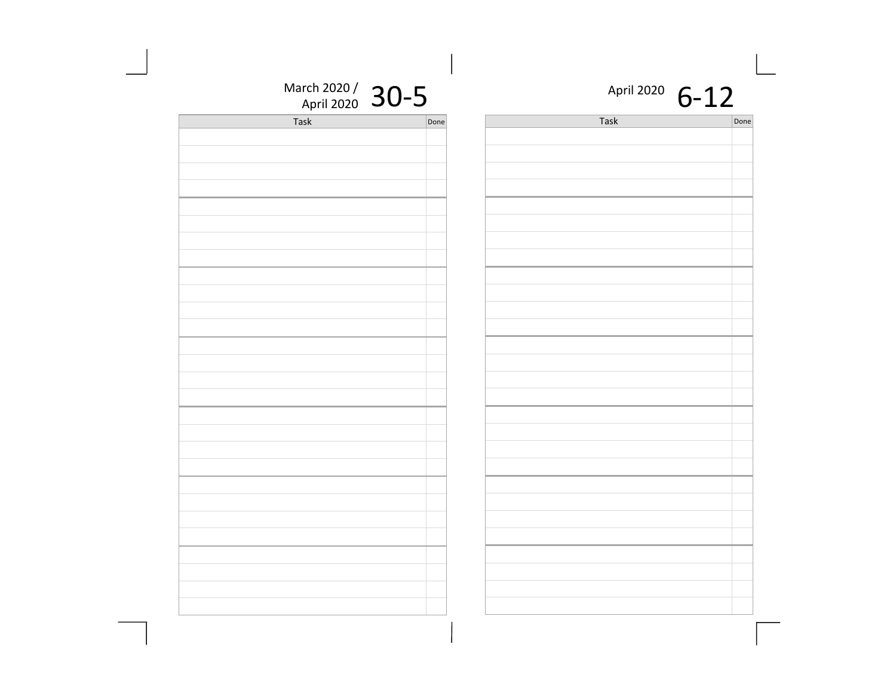| March 2020 / 30-5 |      | April 2020 $6-12$ |      |
|-------------------|------|-------------------|------|
| Task              | Done | Task              | Done |
|                   |      |                   |      |
|                   |      |                   |      |
|                   |      |                   |      |
|                   |      |                   |      |
|                   |      |                   |      |
|                   |      |                   |      |
|                   |      |                   |      |
|                   |      |                   |      |
|                   |      |                   |      |
|                   |      |                   |      |
|                   |      |                   |      |
|                   |      |                   |      |
|                   |      |                   |      |
|                   |      |                   |      |
|                   |      |                   |      |
|                   |      |                   |      |
|                   |      |                   |      |
|                   |      |                   |      |
|                   |      |                   |      |
|                   |      |                   |      |
|                   |      |                   |      |
|                   |      |                   |      |
|                   |      |                   |      |
|                   |      |                   |      |
|                   |      |                   |      |
|                   |      |                   |      |
|                   |      |                   |      |
|                   |      |                   |      |
|                   |      |                   |      |
|                   |      |                   |      |
|                   |      |                   |      |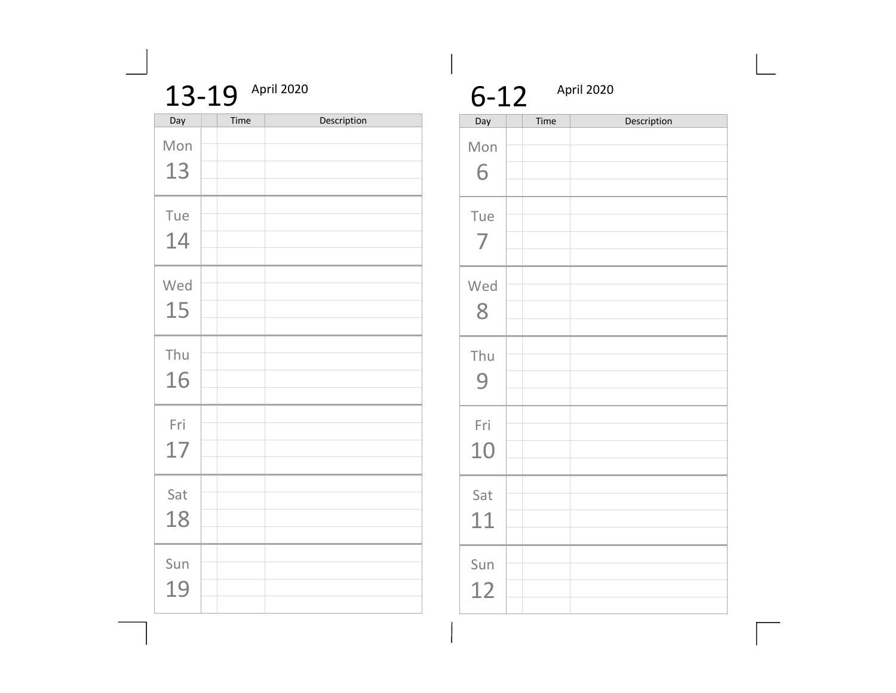#### 13-19 April 2020

| Day | Time | Description |
|-----|------|-------------|
| Mon |      |             |
| 13  |      |             |
| Tue |      |             |
| 14  |      |             |
| Wed |      |             |
| 15  |      |             |
| Thu |      |             |
| 16  |      |             |
| Fri |      |             |
| 17  |      |             |
| Sat |      |             |
| 18  |      |             |
|     |      |             |
| Sun |      |             |
| 19  |      |             |

6-12 April 2020

| Day                   | Time | Description |
|-----------------------|------|-------------|
| Mon<br>6              |      |             |
| Tue<br>$\overline{7}$ |      |             |
| Wed<br>8              |      |             |
| Thu<br>9              |      |             |
| Fri<br>10             |      |             |
| Sat<br>11             |      |             |
| Sun<br>12             |      |             |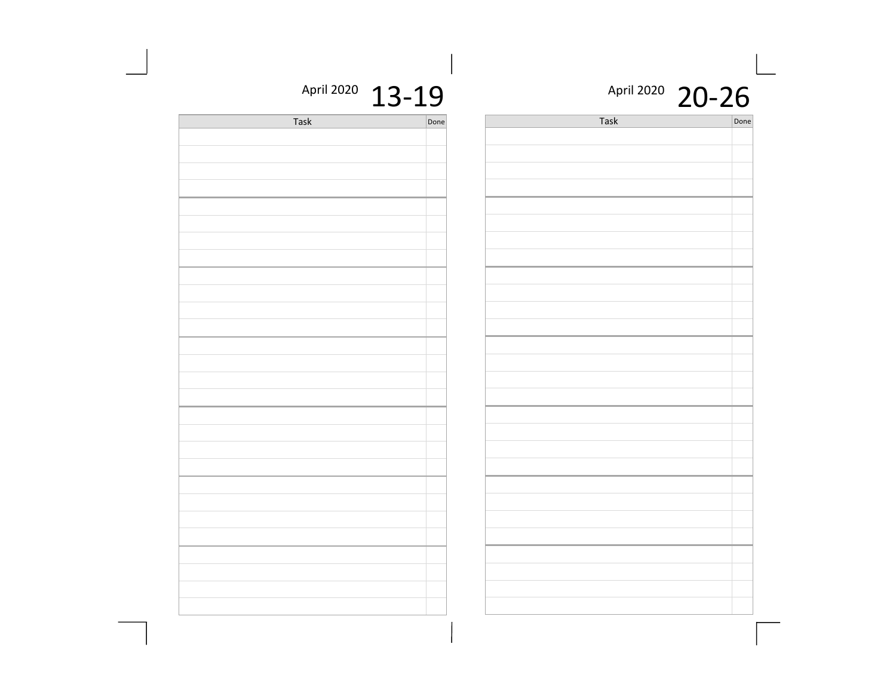#### April 2020 20-26

 $\sqrt{\sqrt{2}}$ 

| April 2020 13-19 |
|------------------|
|                  |

| Task | Done | Task |
|------|------|------|
|      |      |      |
|      |      |      |
|      |      |      |
|      |      |      |
|      |      |      |
|      |      |      |
|      |      |      |
|      |      |      |
|      |      |      |
|      |      |      |
|      |      |      |
|      |      |      |
|      |      |      |
|      |      |      |
|      |      |      |
|      |      |      |
|      |      |      |
|      |      |      |
|      |      |      |
|      |      |      |
|      |      |      |
|      |      |      |
|      |      |      |
|      |      |      |
|      |      |      |
|      |      |      |
|      |      |      |
|      |      |      |
|      |      |      |
|      |      |      |
|      |      |      |
|      |      |      |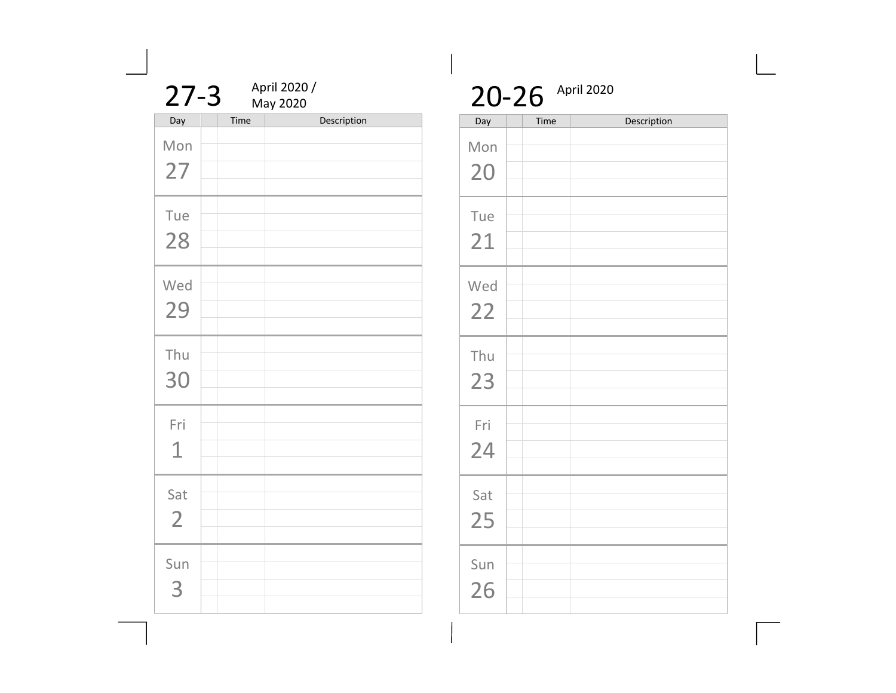| April 2020 /<br>$27 - 3$<br>May 2020 |      |             |  |
|--------------------------------------|------|-------------|--|
| Day                                  | Time | Description |  |
| Mon<br>27                            |      |             |  |
| Tue<br>28                            |      |             |  |
| Wed<br>29                            |      |             |  |
| Thu<br>30                            |      |             |  |
| Fri<br>$\mathbf 1$                   |      |             |  |
| Sat<br>$\overline{2}$                |      |             |  |
| Sun<br>3                             |      |             |  |

## 20-26 April 2020

| Day       | Time | Description |
|-----------|------|-------------|
| Mon<br>20 |      |             |
| Tue<br>21 |      |             |
| Wed<br>22 |      |             |
| Thu<br>23 |      |             |
| Fri<br>24 |      |             |
| Sat<br>25 |      |             |
| Sun<br>26 |      |             |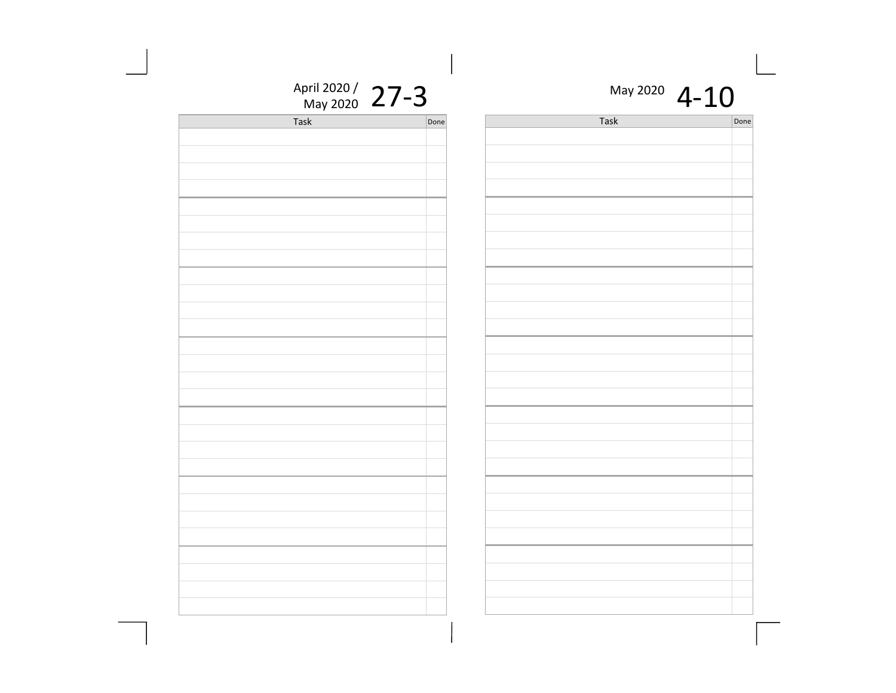| May 2020 $4-10$ |      |
|-----------------|------|
| Task            | Done |
|                 |      |
|                 |      |
|                 |      |

April 2020 /  $27-3$ 

| $r \sim r \sim r$ |      |
|-------------------|------|
| <b>Task</b>       | Done |
|                   |      |
|                   |      |
|                   |      |
|                   |      |
|                   |      |
|                   |      |
|                   |      |
|                   |      |
|                   |      |
|                   |      |
|                   |      |
|                   |      |
|                   |      |
|                   |      |
|                   |      |
|                   |      |
|                   |      |
|                   |      |
|                   |      |
|                   |      |
|                   |      |
|                   |      |
|                   |      |
|                   |      |
|                   |      |
|                   |      |
|                   |      |
|                   |      |
|                   |      |
|                   |      |
|                   |      |
|                   |      |
|                   |      |
|                   |      |
|                   |      |
|                   |      |
|                   |      |
|                   |      |
|                   |      |
|                   |      |
|                   |      |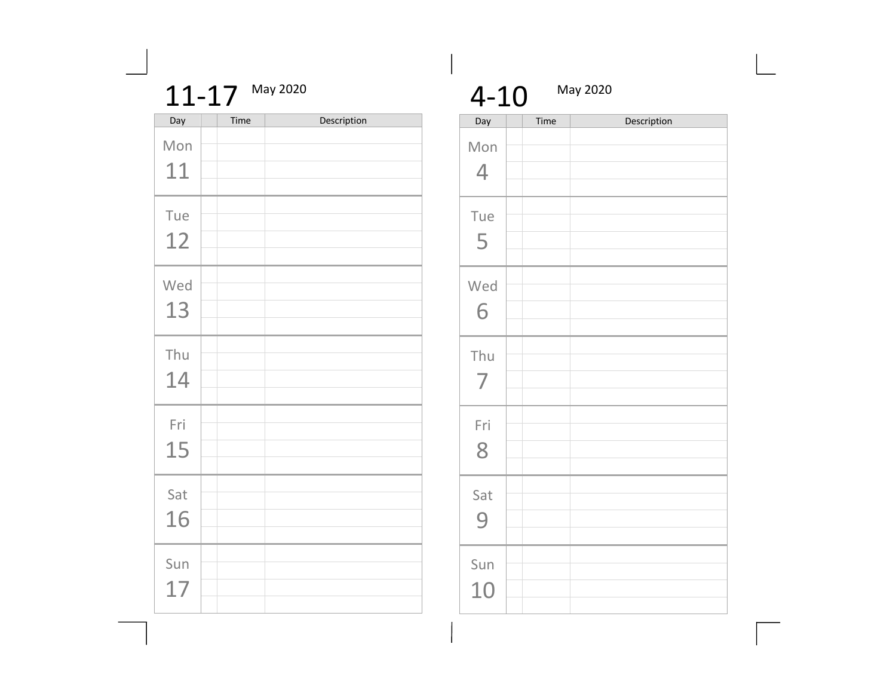| $1 - 1$<br>◢<br><b>Contract Contract</b> | May 2020 |
|------------------------------------------|----------|
|------------------------------------------|----------|

| Day       | Time | Description |
|-----------|------|-------------|
| Mon<br>11 |      |             |
| Tue<br>12 |      |             |
| Wed<br>13 |      |             |
| Thu<br>14 |      |             |
| Fri<br>15 |      |             |
| Sat<br>16 |      |             |
| Sun<br>17 |      |             |

| $4 - 10$        |      | May 2020    |
|-----------------|------|-------------|
| Day<br>Mon<br>4 | Time | Description |
| Tue<br>5        |      |             |
| Wed<br>6        |      |             |
| Thu<br>7        |      |             |
| Fri<br>8        |      |             |
| Sat<br>9        |      |             |
| Sun<br>10       |      |             |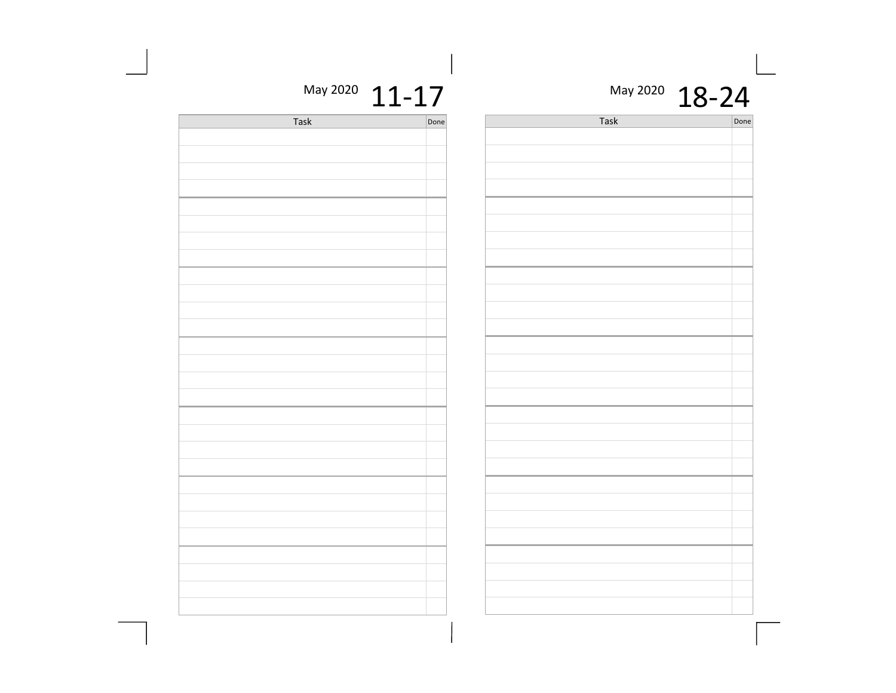| 18-24 |
|-------|
|       |

Task Done

the control of the control of the control of the control of the control of the control of

the control of the control of the control of the control of the control of the control of

May 2020  $11 - 17$ 

| Task | Done |
|------|------|
|      |      |
|      |      |
|      |      |
|      |      |
|      |      |
|      |      |
|      |      |
|      |      |
|      |      |
|      |      |
|      |      |
|      |      |
|      |      |
|      |      |
|      |      |
|      |      |
|      |      |
|      |      |
|      |      |
|      |      |
|      |      |
|      |      |
|      |      |
|      |      |
|      |      |
|      |      |
|      |      |
|      |      |
|      |      |
|      |      |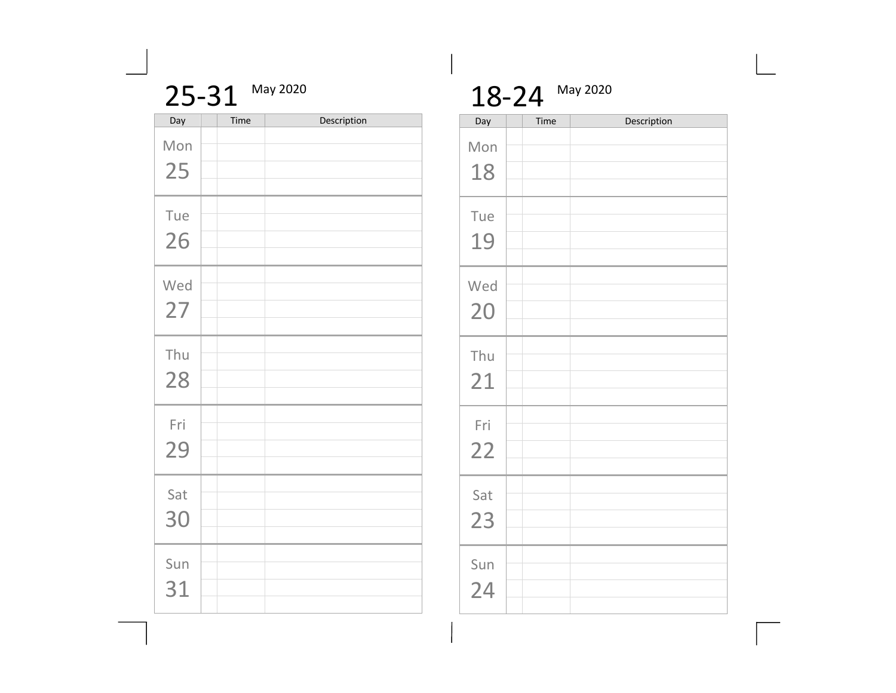|     | 25-31 | May 2020    |
|-----|-------|-------------|
| Day | Time  | Description |
| Mon |       |             |
| 25  |       |             |
|     |       |             |
| Tue |       |             |
| 26  |       |             |
|     |       |             |
| Wed |       |             |
|     |       |             |
| 27  |       |             |
| Thu |       |             |
|     |       |             |
| 28  |       |             |
|     |       |             |
| Fri |       |             |
| 29  |       |             |
|     |       |             |
| Sat |       |             |
|     |       |             |
| 30  |       |             |
|     |       |             |
| Sun |       |             |
| 31  |       |             |
|     |       |             |

18-24 May 2020

| Day       | Time | Description |
|-----------|------|-------------|
| Mon<br>18 |      |             |
| Tue<br>19 |      |             |
| Wed<br>20 |      |             |
| Thu<br>21 |      |             |
| Fri<br>22 |      |             |
| Sat<br>23 |      |             |
| Sun<br>24 |      |             |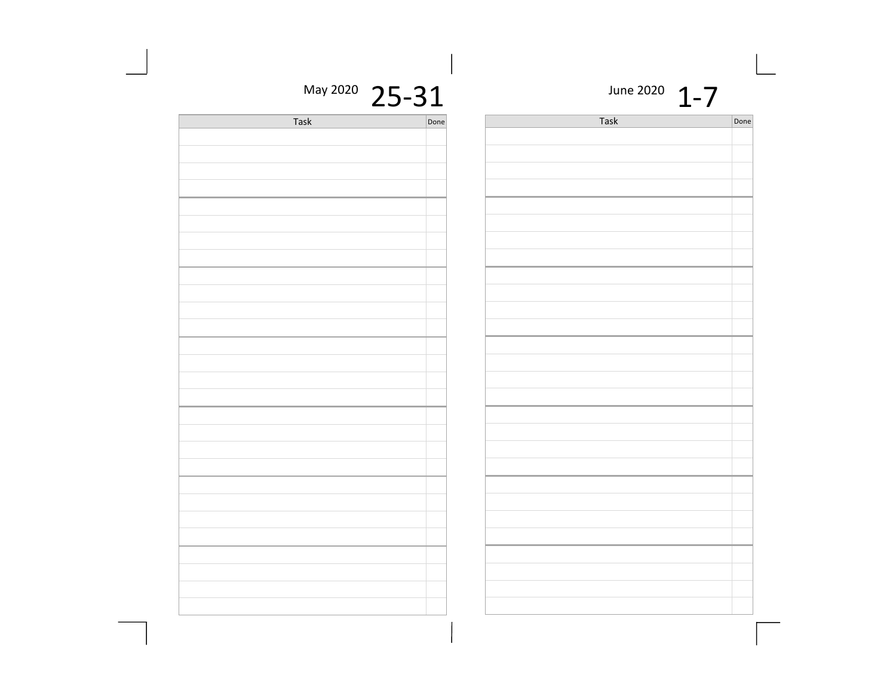| May 2020 25-31 |      | June 2020 $1-7$ |  |
|----------------|------|-----------------|--|
| Task           | Done | Task            |  |
|                |      |                 |  |
|                |      |                 |  |
|                |      |                 |  |
|                |      |                 |  |
|                |      |                 |  |
|                |      |                 |  |
|                |      |                 |  |
|                |      |                 |  |
|                |      |                 |  |
|                |      |                 |  |
|                |      |                 |  |
|                |      |                 |  |
|                |      |                 |  |
|                |      |                 |  |
|                |      |                 |  |
|                |      |                 |  |
|                |      |                 |  |
|                |      |                 |  |
|                |      |                 |  |
|                |      |                 |  |
|                |      |                 |  |
|                |      |                 |  |
|                |      |                 |  |
|                |      |                 |  |
|                |      |                 |  |
|                |      |                 |  |
|                |      |                 |  |
|                |      |                 |  |
|                |      |                 |  |
|                |      |                 |  |

| Task | D <sub>C</sub> |
|------|----------------|
|      |                |
|      |                |
|      |                |
|      |                |
|      |                |
|      |                |
|      |                |
|      |                |
|      |                |
|      |                |
|      |                |
|      |                |
|      |                |
|      |                |
|      |                |
|      |                |
|      |                |
|      |                |
|      |                |
|      |                |
|      |                |
|      |                |
|      |                |
|      |                |
|      |                |
|      |                |
|      |                |
|      |                |
|      |                |
|      |                |
|      |                |
|      |                |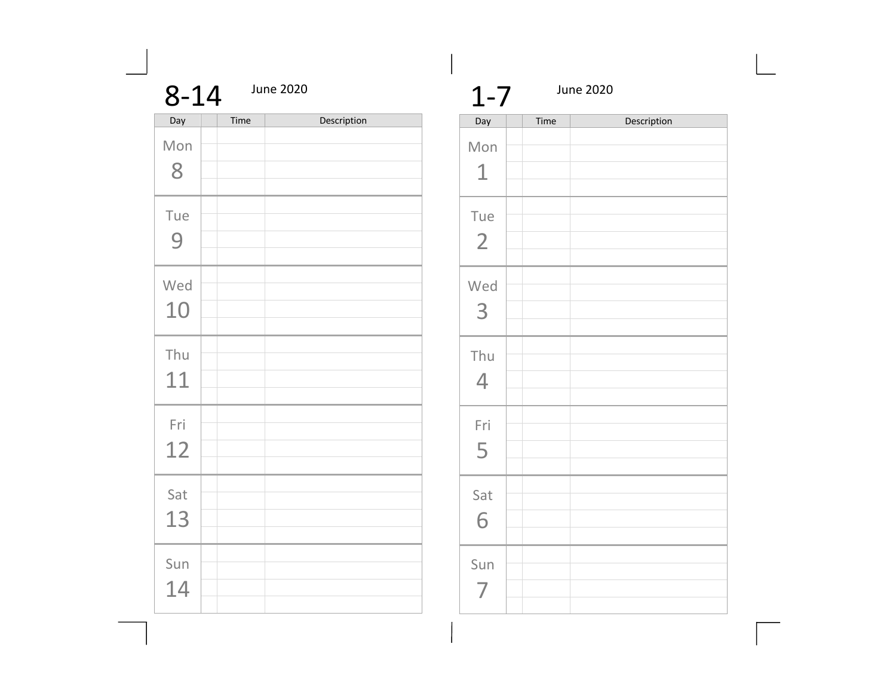| $8 - 14$  |      | <b>June 2020</b> |  |  |
|-----------|------|------------------|--|--|
| Day       | Time | Description      |  |  |
| Mon<br>8  |      |                  |  |  |
| Tue<br>9  |      |                  |  |  |
| Wed<br>10 |      |                  |  |  |
| Thu<br>11 |      |                  |  |  |
| Fri<br>12 |      |                  |  |  |
| Sat<br>13 |      |                  |  |  |
| Sun<br>14 |      |                  |  |  |

| $1 - 7$               | <b>June 2020</b> |             |  |
|-----------------------|------------------|-------------|--|
| Day                   | Time             | Description |  |
| Mon<br>$\mathbf 1$    |                  |             |  |
| Tue<br>$\overline{2}$ |                  |             |  |
| Wed<br>3              |                  |             |  |
| Thu<br>$\overline{4}$ |                  |             |  |
| Fri<br>5              |                  |             |  |
| Sat<br>6              |                  |             |  |
| Sun                   |                  |             |  |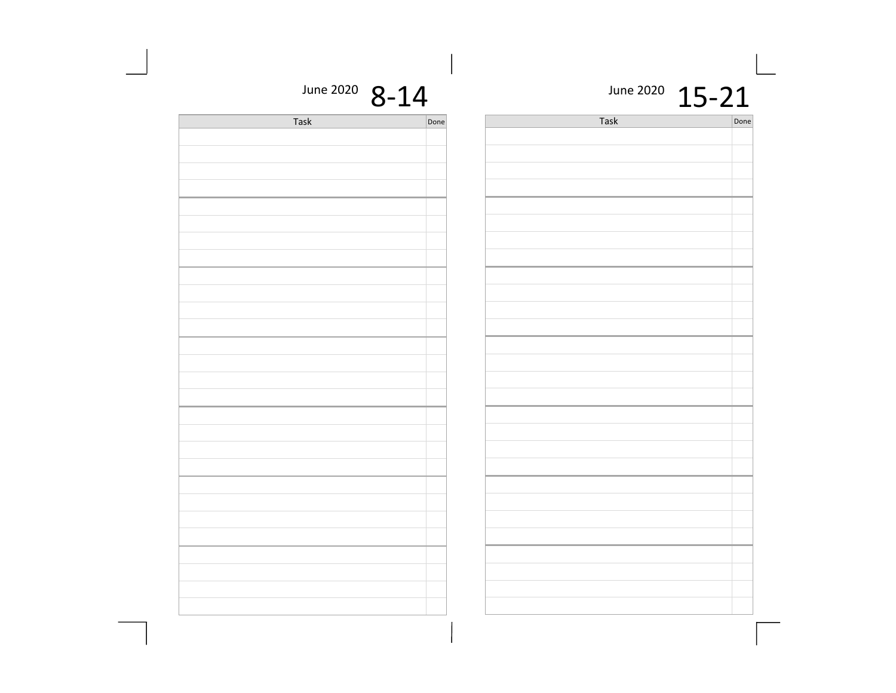| June 2020 $8-14$ |      |      | June 2020 $15-21$ |
|------------------|------|------|-------------------|
| Task             | Done | Task | Done              |
|                  |      |      |                   |
|                  |      |      |                   |
|                  |      |      |                   |
|                  |      |      |                   |
|                  |      |      |                   |
|                  |      |      |                   |
|                  |      |      |                   |
|                  |      |      |                   |
|                  |      |      |                   |
|                  |      |      |                   |
|                  |      |      |                   |
|                  |      |      |                   |
|                  |      |      |                   |
|                  |      |      |                   |
|                  |      |      |                   |
|                  |      |      |                   |
|                  |      |      |                   |
|                  |      |      |                   |
|                  |      |      |                   |
|                  |      |      |                   |
|                  |      |      |                   |
|                  |      |      |                   |
|                  |      |      |                   |
|                  |      |      |                   |
|                  |      |      |                   |
|                  |      |      |                   |
|                  |      |      |                   |
|                  |      |      |                   |
|                  |      |      |                   |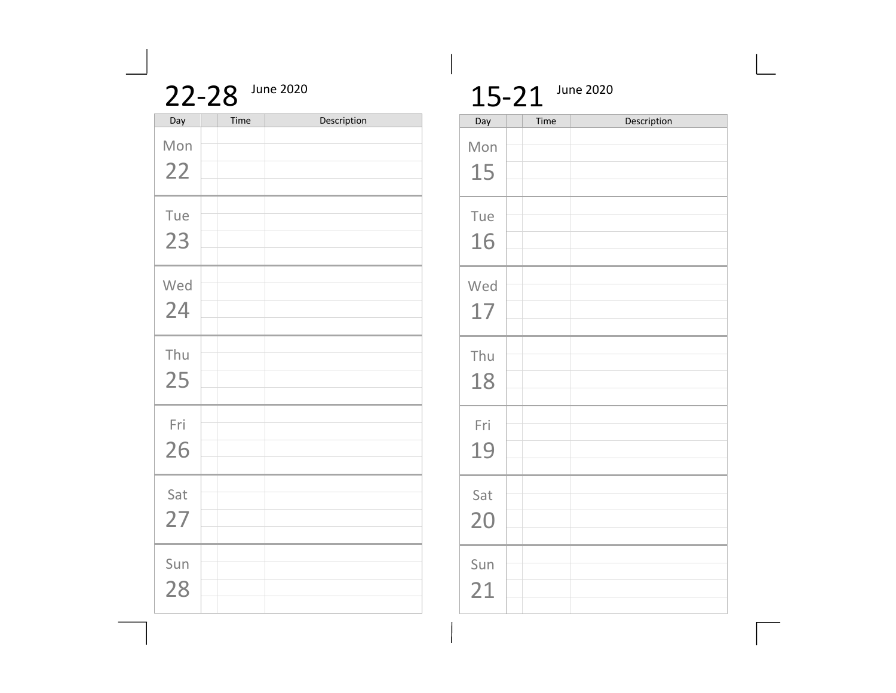|             | June 2020 |  |
|-------------|-----------|--|
| Time<br>Dav |           |  |

| Day       | Time | Description |
|-----------|------|-------------|
| Mon<br>22 |      |             |
| Tue<br>23 |      |             |
| Wed<br>24 |      |             |
| Thu<br>25 |      |             |
| Fri<br>26 |      |             |
| Sat<br>27 |      |             |
| Sun<br>28 |      |             |

## 15-21 June 2020

| Day       | Time | Description |
|-----------|------|-------------|
| Mon<br>15 |      |             |
| Tue<br>16 |      |             |
| Wed<br>17 |      |             |
| Thu<br>18 |      |             |
| Fri<br>19 |      |             |
| Sat<br>20 |      |             |
| Sun<br>21 |      |             |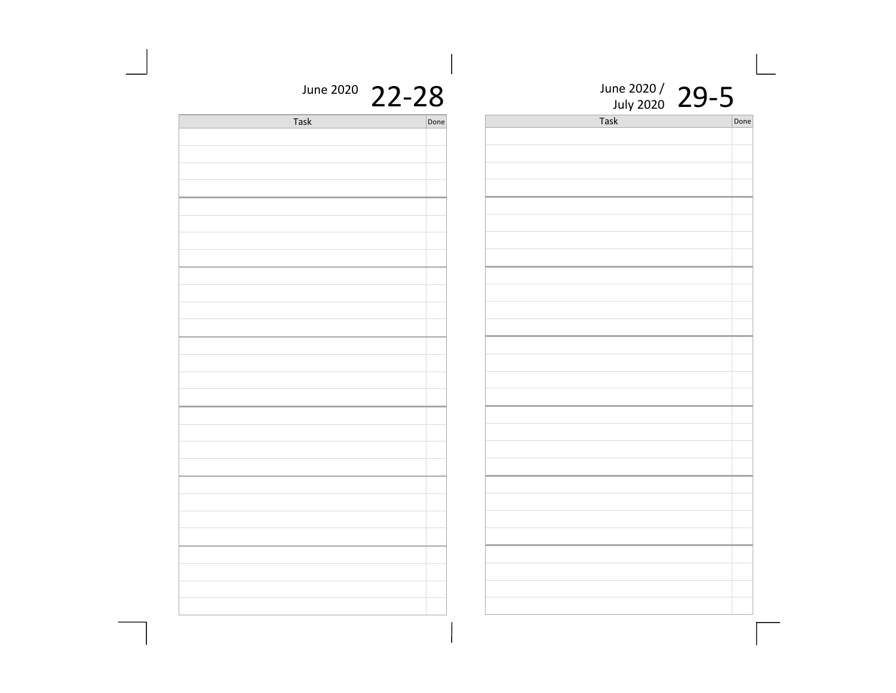| June 2020 / 29-5<br>Task | Done |
|--------------------------|------|
|                          |      |
|                          |      |
|                          |      |
|                          |      |
|                          |      |
|                          |      |
|                          |      |
|                          |      |
|                          |      |
|                          |      |
|                          |      |
|                          |      |
|                          |      |
|                          |      |
|                          |      |
|                          |      |
|                          |      |
|                          |      |
|                          |      |
|                          |      |
|                          |      |
|                          |      |
|                          |      |
|                          |      |
|                          |      |
|                          |      |

## June 2020 22-28

| <b>Task</b> | Done |
|-------------|------|
|             |      |
|             |      |
|             |      |
|             |      |
|             |      |
|             |      |
|             |      |
|             |      |
|             |      |
|             |      |
|             |      |
|             |      |
|             |      |
|             |      |
|             |      |
|             |      |
|             |      |
|             |      |
|             |      |
|             |      |
|             |      |
|             |      |
|             |      |
|             |      |
|             |      |
|             |      |
|             |      |
|             |      |
|             |      |
|             |      |
|             |      |
|             |      |
|             |      |
|             |      |
|             |      |
|             |      |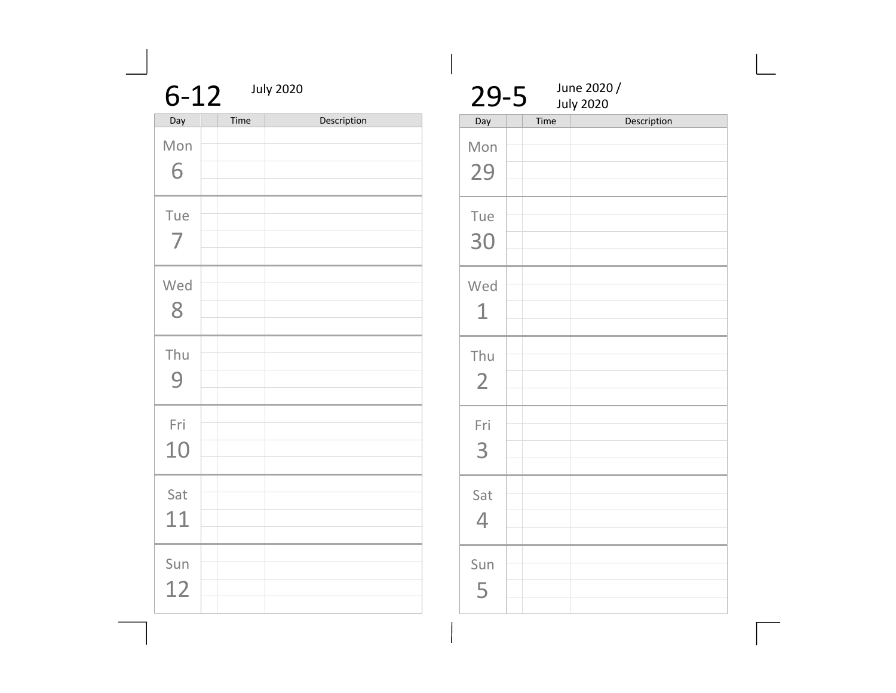| $6 - 12$  |      | <b>July 2020</b> |  |  |
|-----------|------|------------------|--|--|
| Day       | Time | Description      |  |  |
| Mon<br>6  |      |                  |  |  |
| Tue<br>7  |      |                  |  |  |
| Wed<br>8  |      |                  |  |  |
| Thu<br>9  |      |                  |  |  |
| Fri<br>10 |      |                  |  |  |
| Sat<br>11 |      |                  |  |  |
| Sun<br>12 |      |                  |  |  |

 $\frac{29-5}{\frac{\text{July }2020}{\text{Day}}}$ July 2020 Description Mon 29 Tue 30 Wed 1 Thu 2 Fri 3 Sat 4 Sun 5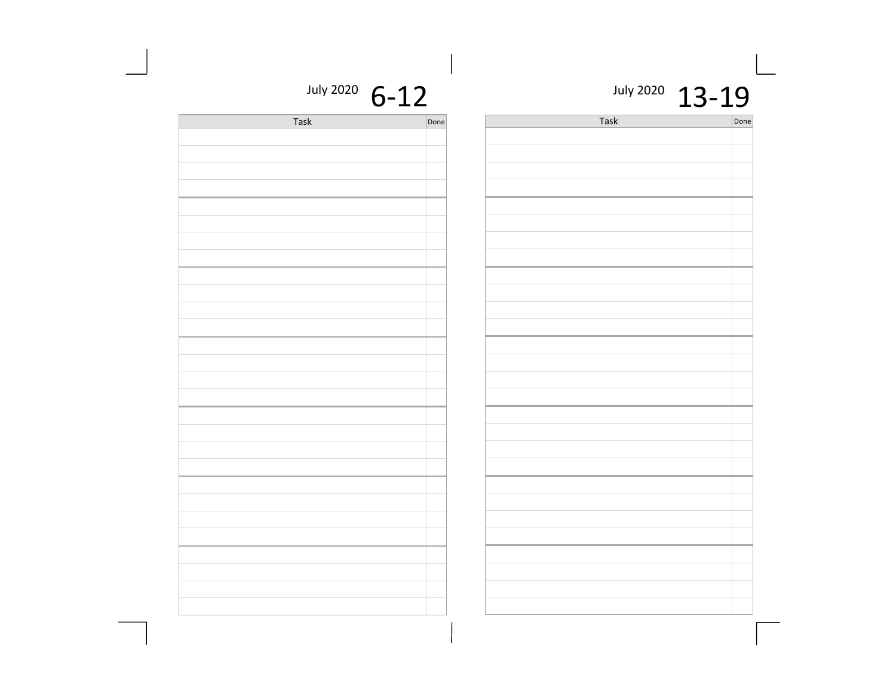July 2020  $13 - 19$ 

Task Done

July 2020  $6-12$ 

| Task | Done | Task |
|------|------|------|
|      |      |      |
|      |      |      |
|      |      |      |
|      |      |      |
|      |      |      |
|      |      |      |
|      |      |      |
|      |      |      |
|      |      |      |
|      |      |      |
|      |      |      |
|      |      |      |
|      |      |      |
|      |      |      |
|      |      |      |
|      |      |      |
|      |      |      |
|      |      |      |
|      |      |      |
|      |      |      |
|      |      |      |
|      |      |      |
|      |      |      |
|      |      |      |
|      |      |      |
|      |      |      |
|      |      |      |
|      |      |      |
|      |      |      |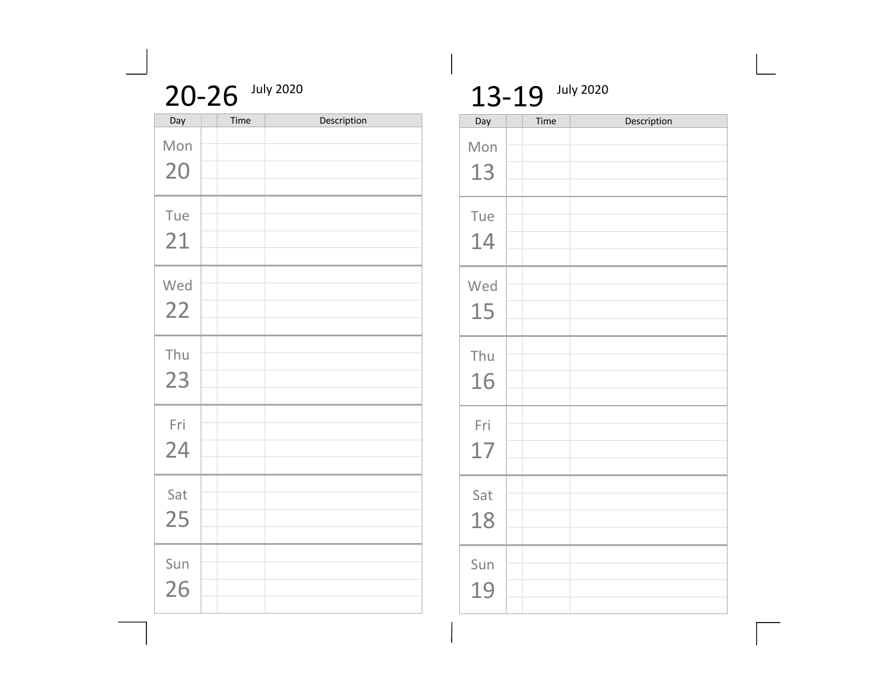| 20-26 July 2020 |  |
|-----------------|--|
|-----------------|--|

| Day       | Time | Description |
|-----------|------|-------------|
| Mon<br>20 |      |             |
| Tue<br>21 |      |             |
| Wed<br>22 |      |             |
| Thu<br>23 |      |             |
| Fri<br>24 |      |             |
| Sat<br>25 |      |             |
| Sun<br>26 |      |             |

## 13-19 July 2020

| Day       | Time | Description |
|-----------|------|-------------|
| Mon<br>13 |      |             |
| Tue<br>14 |      |             |
| Wed<br>15 |      |             |
| Thu<br>16 |      |             |
| Fri<br>17 |      |             |
| Sat<br>18 |      |             |
| Sun<br>19 |      |             |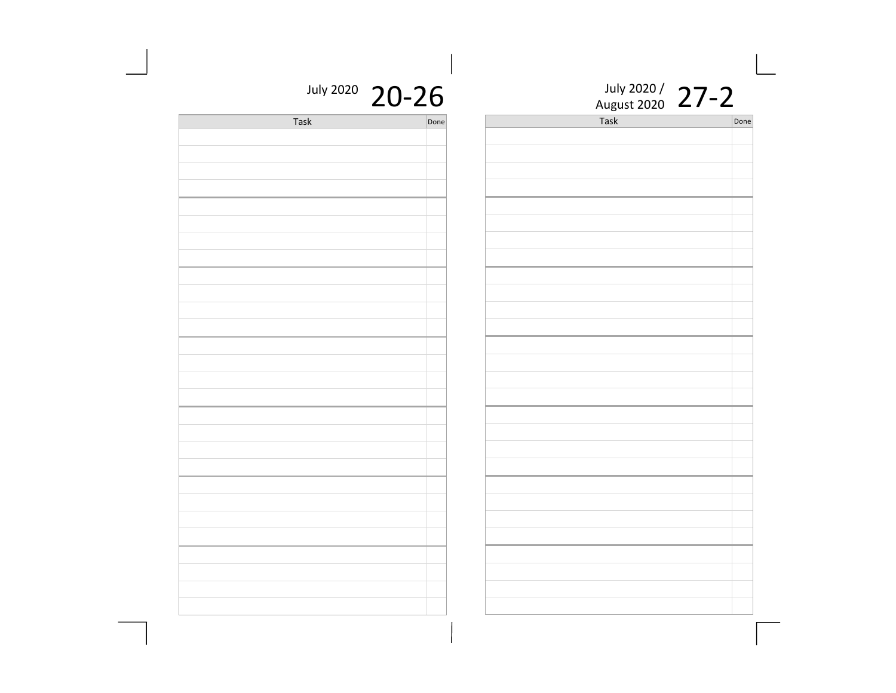| July 2020 / |  |
|-------------|--|
| August 2020 |  |

Task Done

| July 2020 | 20-26 |
|-----------|-------|
|-----------|-------|

| Task | Done |
|------|------|
|      |      |
|      |      |
|      |      |
|      |      |
|      |      |
|      |      |
|      |      |
|      |      |
|      |      |
|      |      |
|      |      |
|      |      |
|      |      |
|      |      |
|      |      |
|      |      |
|      |      |
|      |      |
|      |      |
|      |      |
|      |      |
|      |      |
|      |      |
|      |      |
|      |      |
|      |      |
|      |      |
|      |      |
|      |      |
|      |      |
|      |      |
|      |      |
|      |      |
|      |      |
|      |      |
|      |      |
|      |      |
|      |      |
|      |      |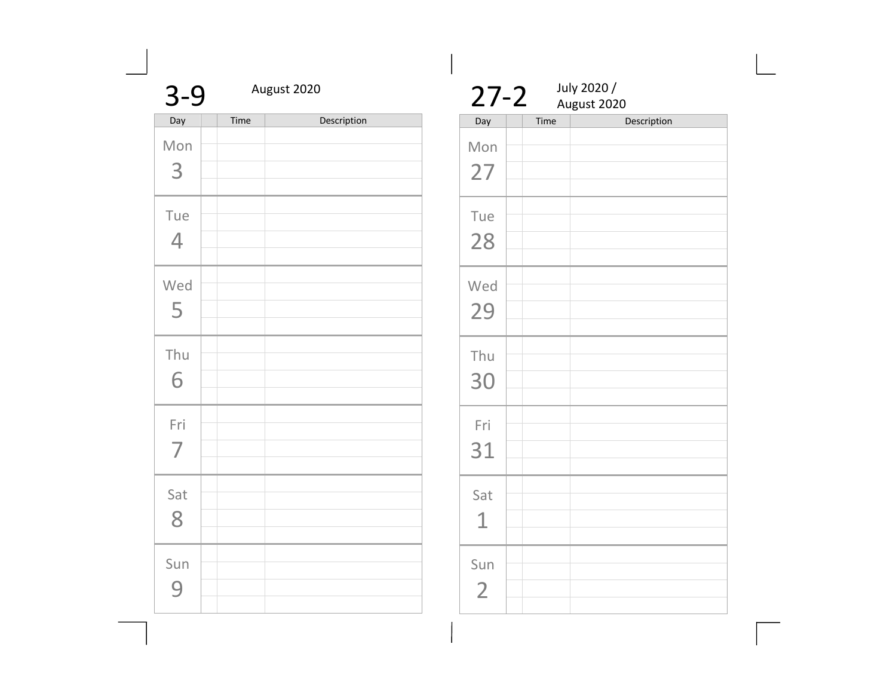| $3 - 9$               |      | August 2020 |  |
|-----------------------|------|-------------|--|
| Day                   | Time | Description |  |
| Mon<br>3              |      |             |  |
| Tue<br>$\overline{4}$ |      |             |  |
| Wed<br>5              |      |             |  |
| Thu<br>6              |      |             |  |
| Fri<br>$\overline{7}$ |      |             |  |
| Sat<br>8              |      |             |  |
| Sun<br>q              |      |             |  |

| $27 - 2$              |      | July 2020 /<br>August 2020 |
|-----------------------|------|----------------------------|
| Day                   | Time | Description                |
| Mon<br>27             |      |                            |
| Tue<br>28             |      |                            |
| Wed<br>29             |      |                            |
| Thu<br>30             |      |                            |
| Fri<br>31             |      |                            |
| Sat<br>1              |      |                            |
| Sun<br>$\overline{2}$ |      |                            |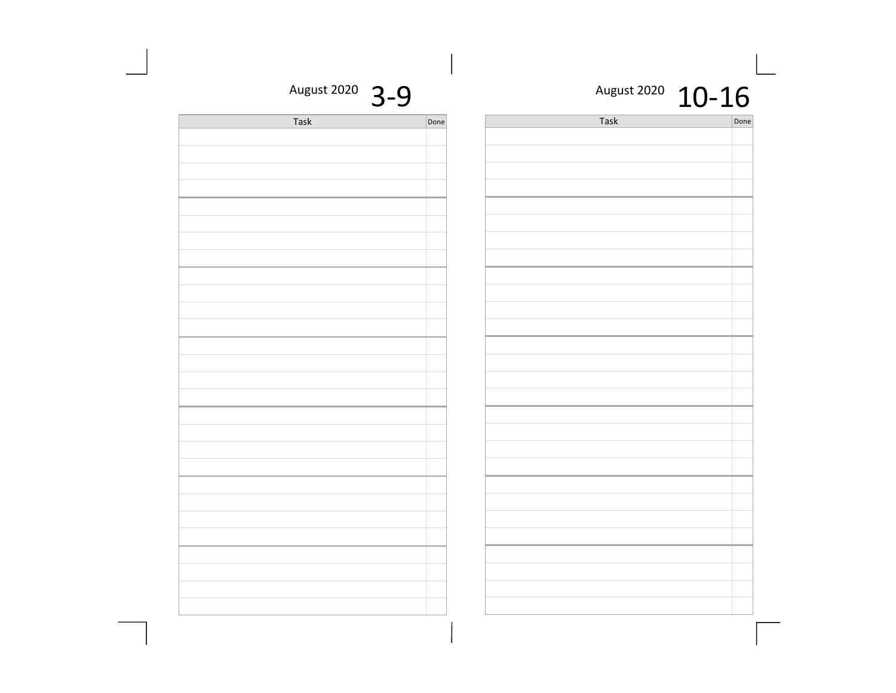#### August 2020  $10 - 16$

Task Done

| August 2020 | $\overline{\mathbf{Q}}$ |
|-------------|-------------------------|
|-------------|-------------------------|

| Task | Done |
|------|------|
|      |      |
|      |      |
|      |      |
|      |      |
|      |      |
|      |      |
|      |      |
|      |      |
|      |      |
|      |      |
|      |      |
|      |      |
|      |      |
|      |      |
|      |      |
|      |      |
|      |      |
|      |      |
|      |      |
|      |      |
|      |      |
|      |      |
|      |      |
|      |      |
|      |      |
|      |      |
|      |      |
|      |      |
|      |      |
|      |      |
|      |      |
|      |      |
|      |      |
|      |      |
|      |      |
|      |      |
|      |      |
|      |      |
|      |      |
|      |      |
|      |      |
|      |      |
|      |      |
|      |      |
|      |      |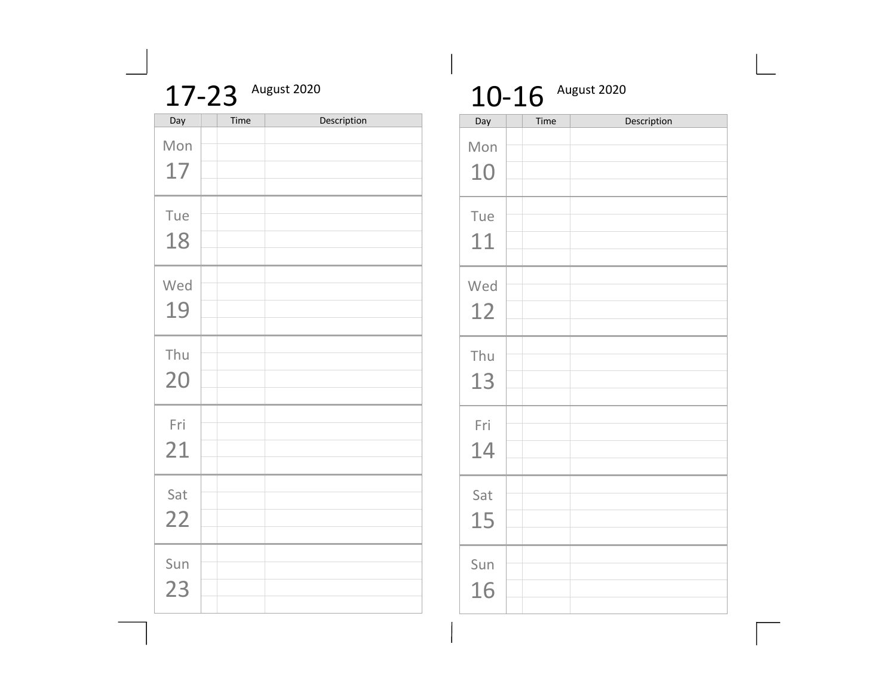| August 2020 |
|-------------|
|             |

| Day | Time | Description |
|-----|------|-------------|
| Mon |      |             |
| 17  |      |             |
| Tue |      |             |
| 18  |      |             |
| Wed |      |             |
| 19  |      |             |
| Thu |      |             |
| 20  |      |             |
| Fri |      |             |
| 21  |      |             |
| Sat |      |             |
| 22  |      |             |
| Sun |      |             |
| 23  |      |             |

## 10-16 August 2020

| Day       | Time | Description |
|-----------|------|-------------|
| Mon<br>10 |      |             |
| Tue<br>11 |      |             |
| Wed<br>12 |      |             |
| Thu<br>13 |      |             |
| Fri<br>14 |      |             |
| Sat<br>15 |      |             |
| Sun<br>16 |      |             |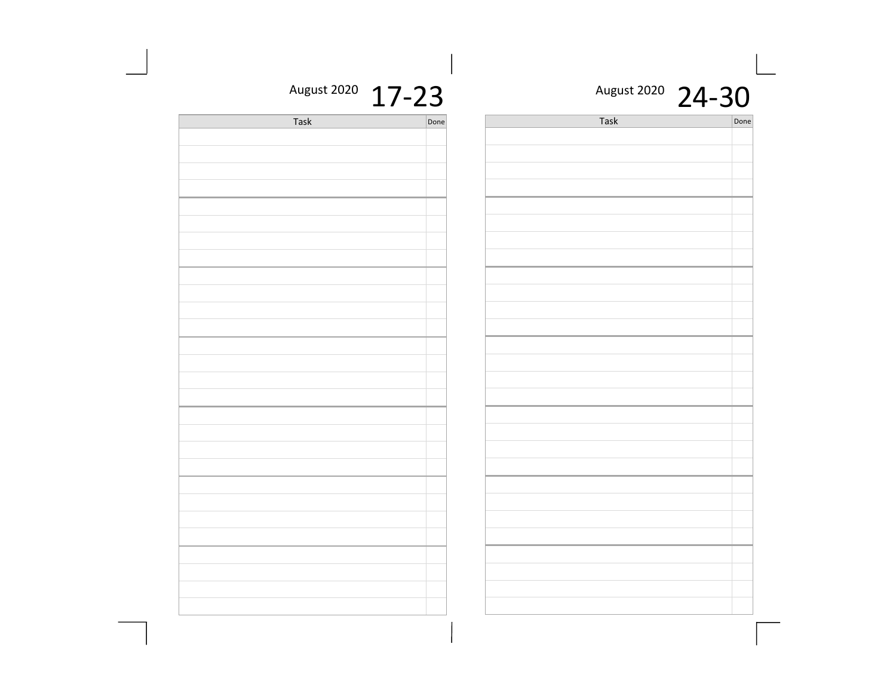#### August 2020 24-30

Done

| $\check{ }$ |  |      | $\leftarrow$ | u |
|-------------|--|------|--------------|---|
| Done        |  | Task |              |   |
|             |  |      |              |   |
|             |  |      |              |   |
|             |  |      |              |   |
|             |  |      |              |   |
|             |  |      |              |   |
|             |  |      |              |   |
|             |  |      |              |   |
|             |  |      |              |   |
|             |  |      |              |   |
|             |  |      |              |   |
|             |  |      |              |   |
|             |  |      |              |   |
|             |  |      |              |   |
|             |  |      |              |   |
|             |  |      |              |   |
|             |  |      |              |   |
|             |  |      |              |   |
|             |  |      |              |   |
|             |  |      |              |   |
|             |  |      |              |   |
|             |  |      |              |   |
|             |  |      |              |   |
|             |  |      |              |   |
|             |  |      |              |   |
|             |  |      |              |   |
|             |  |      |              |   |
|             |  |      |              |   |
|             |  |      |              |   |
|             |  |      |              |   |
|             |  |      |              |   |
|             |  |      |              |   |
|             |  |      |              |   |

#### August 2020 17-23

| <b>Task</b> | Done |
|-------------|------|
|             |      |
|             |      |
|             |      |
|             |      |
|             |      |
|             |      |
|             |      |
|             |      |
|             |      |
|             |      |
|             |      |
|             |      |
|             |      |
|             |      |
|             |      |
|             |      |
|             |      |
|             |      |
|             |      |
|             |      |
|             |      |
|             |      |
|             |      |
|             |      |
|             |      |
|             |      |
|             |      |
|             |      |
|             |      |
|             |      |
|             |      |
|             |      |
|             |      |
|             |      |
|             |      |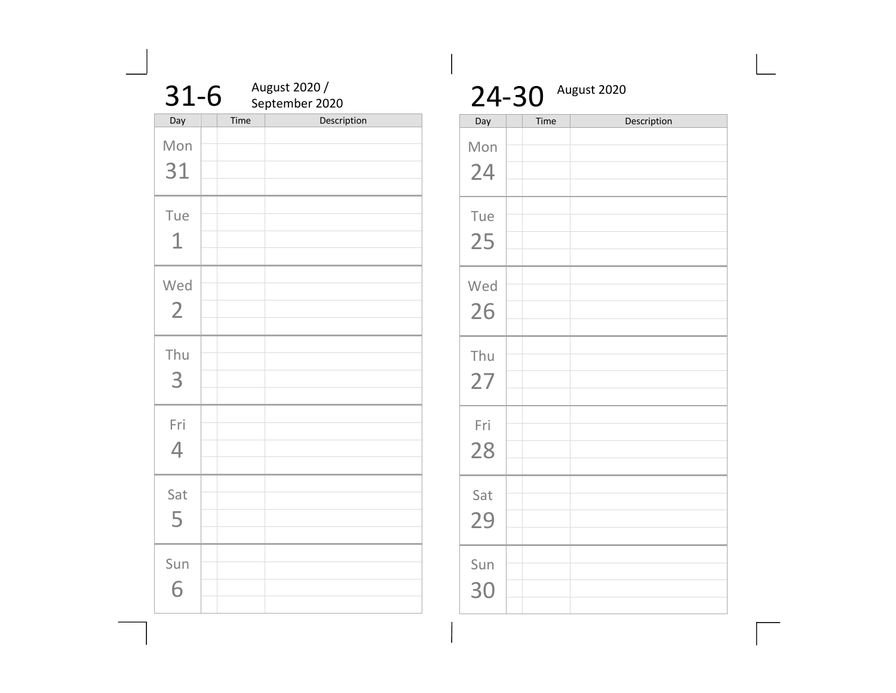| $31-6$                |      | August 2020 /<br>September 2020 |  |  |
|-----------------------|------|---------------------------------|--|--|
| Day                   | Time | Description                     |  |  |
| Mon<br>31             |      |                                 |  |  |
| Tue<br>1              |      |                                 |  |  |
| Wed<br>$\overline{2}$ |      |                                 |  |  |
| Thu<br>3              |      |                                 |  |  |
| Fri<br>4              |      |                                 |  |  |
| Sat<br>5              |      |                                 |  |  |
| Sun<br>6              |      |                                 |  |  |

| August 2020<br>24-30 |      |             |  |  |
|----------------------|------|-------------|--|--|
| Day                  | Time | Description |  |  |
| Mon<br>24            |      |             |  |  |
| Tue<br>25            |      |             |  |  |
| Wed<br>26            |      |             |  |  |
| Thu<br>27            |      |             |  |  |
| Fri<br>28            |      |             |  |  |
| Sat<br>29            |      |             |  |  |
| Sun<br>30            |      |             |  |  |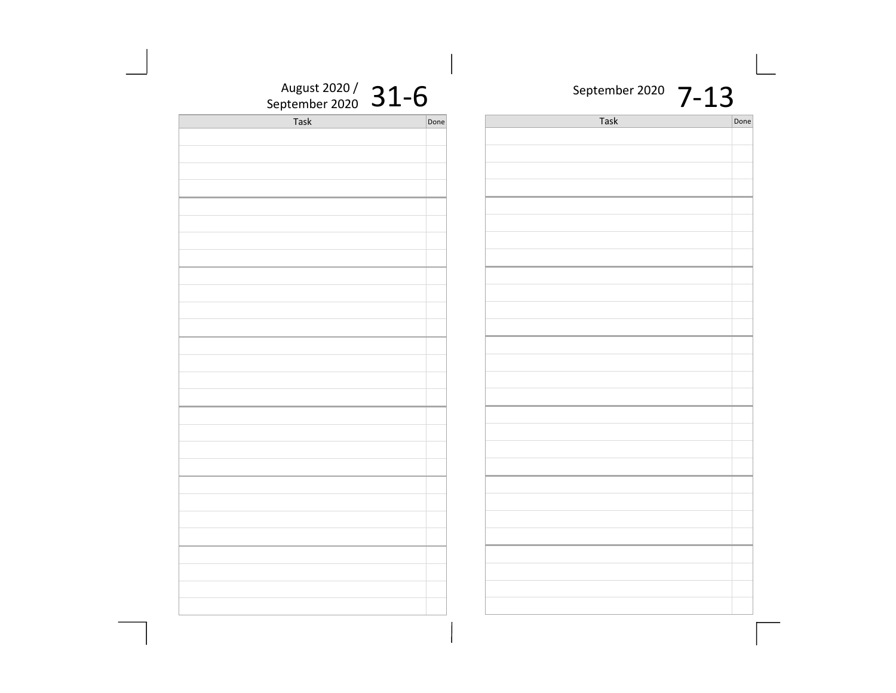| September 2020 |  |
|----------------|--|
|----------------|--|

| ne | Task | Done |
|----|------|------|
|    |      |      |
|    |      |      |
|    |      |      |
|    |      |      |
|    |      |      |
|    |      |      |
|    |      |      |
|    |      |      |
|    |      |      |
|    |      |      |
|    |      |      |
|    |      |      |
|    |      |      |
|    |      |      |
|    |      |      |
|    |      |      |
|    |      |      |
|    |      |      |
|    |      |      |
|    |      |      |
|    |      |      |
|    |      |      |
|    |      |      |
|    |      |      |
|    |      |      |
|    |      |      |
|    |      |      |
|    |      |      |
|    |      |      |
|    |      |      |
|    |      |      |
|    |      |      |
|    |      |      |
|    |      |      |

August 2020 /  $31-6$ 

| September 2020 $\rightarrow$ $\rightarrow$ | ◢ |      |
|--------------------------------------------|---|------|
| Task                                       |   | Done |
|                                            |   |      |
|                                            |   |      |
|                                            |   |      |
|                                            |   |      |
|                                            |   |      |
|                                            |   |      |
|                                            |   |      |
|                                            |   |      |
|                                            |   |      |
|                                            |   |      |
|                                            |   |      |
|                                            |   |      |
|                                            |   |      |
|                                            |   |      |
|                                            |   |      |
|                                            |   |      |
|                                            |   |      |
|                                            |   |      |
|                                            |   |      |
|                                            |   |      |
|                                            |   |      |
|                                            |   |      |
|                                            |   |      |
|                                            |   |      |
|                                            |   |      |
|                                            |   |      |
|                                            |   |      |
|                                            |   |      |
|                                            |   |      |
|                                            |   |      |
|                                            |   |      |
|                                            |   |      |
|                                            |   |      |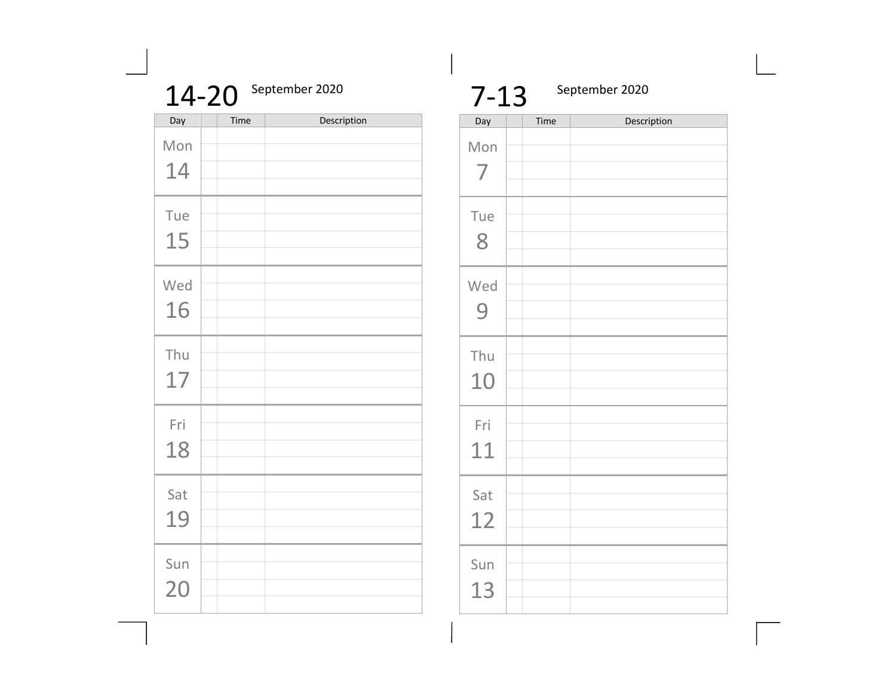| September 2020<br>14-20 |      |             |  |  |
|-------------------------|------|-------------|--|--|
| Day                     | Time | Description |  |  |
| Mon                     |      |             |  |  |
| 14                      |      |             |  |  |
| Tue                     |      |             |  |  |
| 15                      |      |             |  |  |
| Wed                     |      |             |  |  |
| 16                      |      |             |  |  |
| Thu                     |      |             |  |  |
| 17                      |      |             |  |  |
| Fri                     |      |             |  |  |
| 18                      |      |             |  |  |
| Sat                     |      |             |  |  |
| 19                      |      |             |  |  |
|                         |      |             |  |  |
| Sun                     |      |             |  |  |
| 20                      |      |             |  |  |

| $7 - 13$  |      | September 2020 |
|-----------|------|----------------|
| Day       | Time | Description    |
| Mon<br>7  |      |                |
| Tue<br>8  |      |                |
| Wed<br>9  |      |                |
| Thu<br>10 |      |                |
| Fri<br>11 |      |                |
| Sat<br>12 |      |                |
| Sun<br>13 |      |                |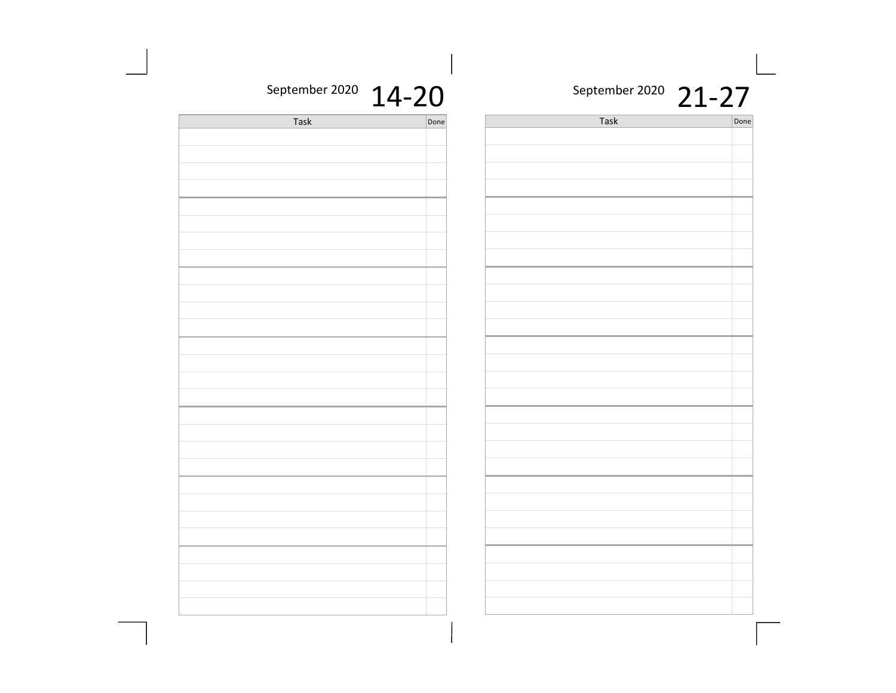#### September 2020 21-27

| ne | Task | Done |
|----|------|------|
|    |      |      |
|    |      |      |
|    |      |      |
|    |      |      |
|    |      |      |
|    |      |      |
|    |      |      |
|    |      |      |
|    |      |      |
|    |      |      |
|    |      |      |
|    |      |      |
|    |      |      |
|    |      |      |
|    |      |      |
|    |      |      |
|    |      |      |
|    |      |      |
|    |      |      |
|    |      |      |
|    |      |      |
|    |      |      |
|    |      |      |
|    |      |      |
|    |      |      |
|    |      |      |
|    |      |      |
|    |      |      |
|    |      |      |
|    |      |      |
|    |      |      |
|    |      |      |
|    |      |      |

#### September 2020  $14 - 20$

| Task | Done |
|------|------|
|      |      |
|      |      |
|      |      |
|      |      |
|      |      |
|      |      |
|      |      |
|      |      |
|      |      |
|      |      |
|      |      |
|      |      |
|      |      |
|      |      |
|      |      |
|      |      |
|      |      |
|      |      |
|      |      |
|      |      |
|      |      |
|      |      |
|      |      |
|      |      |
|      |      |
|      |      |
|      |      |
|      |      |
|      |      |
|      |      |
|      |      |
|      |      |
|      |      |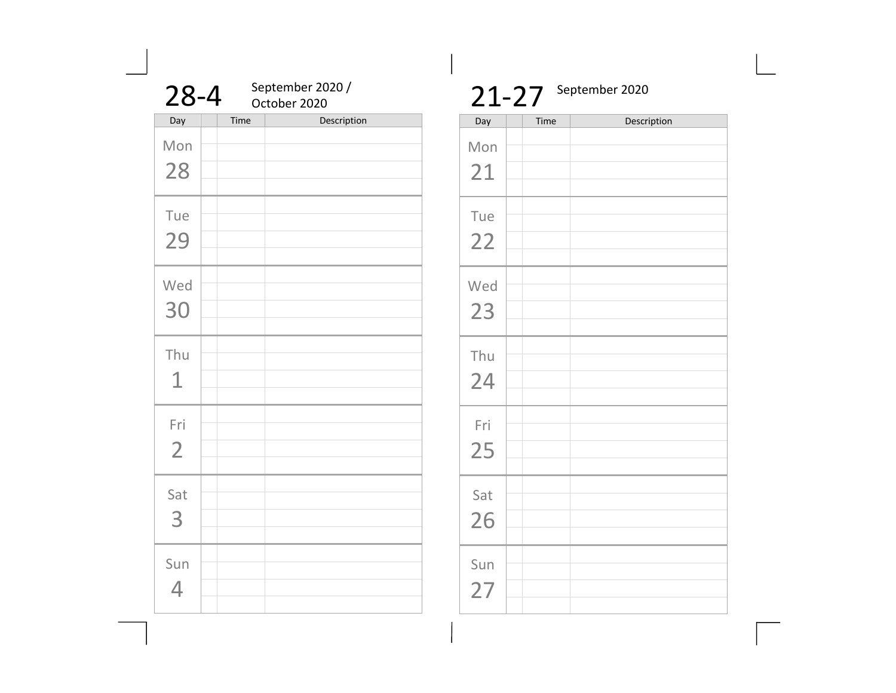| $28 - 4$              |      | September 2020 /<br>October 2020 |
|-----------------------|------|----------------------------------|
| Day                   | Time | Description                      |
| Mon<br>28             |      |                                  |
| Tue<br>29             |      |                                  |
| Wed<br>30             |      |                                  |
| Thu<br>1              |      |                                  |
| Fri<br>$\overline{2}$ |      |                                  |
| Sat<br>3              |      |                                  |
| Sun<br>4              |      |                                  |

## $21-27$  September 2020 Time Description Mon 21 Tue 22 Wed 23 Thu 24 Fri 25 Sat 26 Sun 27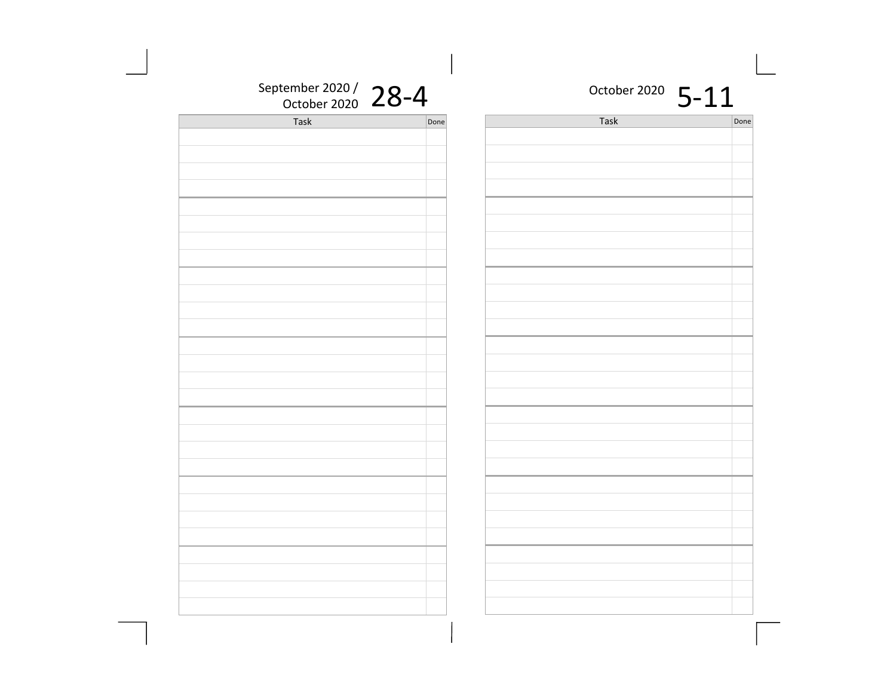| September 2020 / $28-4$ |      | October 2020 5-11 |      |
|-------------------------|------|-------------------|------|
| Task                    | Done | Task              | Done |
|                         |      |                   |      |
|                         |      |                   |      |
|                         |      |                   |      |
|                         |      |                   |      |
|                         |      |                   |      |
|                         |      |                   |      |
|                         |      |                   |      |
|                         |      |                   |      |
|                         |      |                   |      |
|                         |      |                   |      |
|                         |      |                   |      |
|                         |      |                   |      |
|                         |      |                   |      |
|                         |      |                   |      |
|                         |      |                   |      |
|                         |      |                   |      |
|                         |      |                   |      |
|                         |      |                   |      |
|                         |      |                   |      |
|                         |      |                   |      |
|                         |      |                   |      |
|                         |      |                   |      |
|                         |      |                   |      |
|                         |      |                   |      |
|                         |      |                   |      |
|                         |      |                   |      |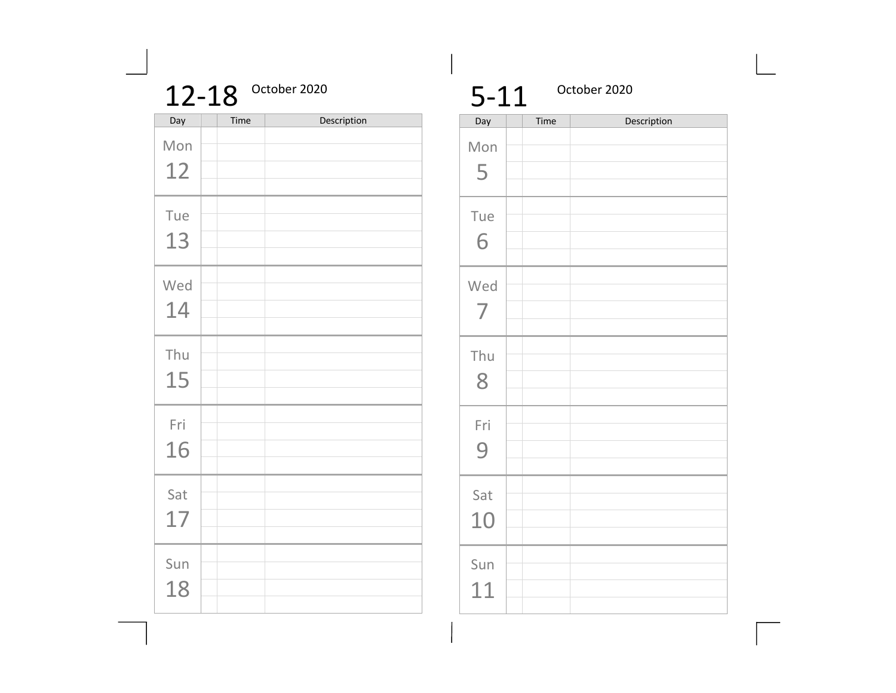| 12-18 October 2020 |
|--------------------|
|                    |

| Day       | Time | Description |
|-----------|------|-------------|
| Mon<br>12 |      |             |
| Tue       |      |             |
| 13<br>Wed |      |             |
| 14        |      |             |
| Thu<br>15 |      |             |
| Fri<br>16 |      |             |
| Sat<br>17 |      |             |
| Sun<br>18 |      |             |

| $5 - 11$  |      | October 2020 |  |  |
|-----------|------|--------------|--|--|
| Day       | Time | Description  |  |  |
| Mon<br>5  |      |              |  |  |
| Tue<br>6  |      |              |  |  |
| Wed<br>7  |      |              |  |  |
| Thu<br>8  |      |              |  |  |
| Fri<br>9  |      |              |  |  |
| Sat<br>10 |      |              |  |  |
| Sun<br>11 |      |              |  |  |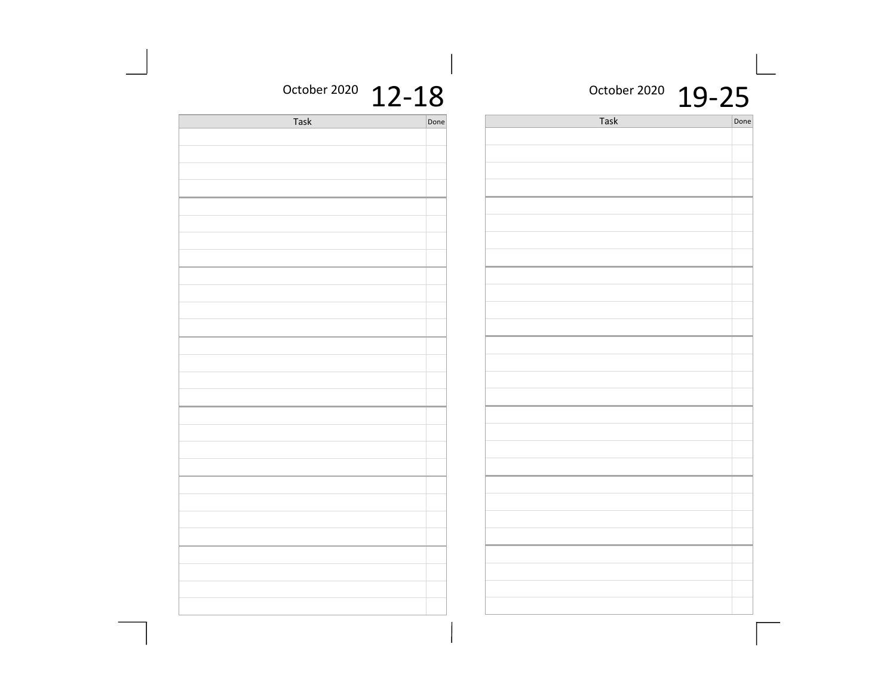#### October 2020 19-25

Done

| TC_TO |      |  |  |
|-------|------|--|--|
| Task  | Done |  |  |
|       |      |  |  |
|       |      |  |  |
|       |      |  |  |
|       |      |  |  |
|       |      |  |  |
|       |      |  |  |
|       |      |  |  |
|       |      |  |  |
|       |      |  |  |
|       |      |  |  |
|       |      |  |  |
|       |      |  |  |
|       |      |  |  |
|       |      |  |  |
|       |      |  |  |
|       |      |  |  |
|       |      |  |  |
|       |      |  |  |
|       |      |  |  |
|       |      |  |  |
|       |      |  |  |
|       |      |  |  |
|       |      |  |  |
|       |      |  |  |
|       |      |  |  |
|       |      |  |  |
|       |      |  |  |
|       |      |  |  |
|       |      |  |  |
|       |      |  |  |
|       |      |  |  |
|       |      |  |  |
|       |      |  |  |

October 2020 12-18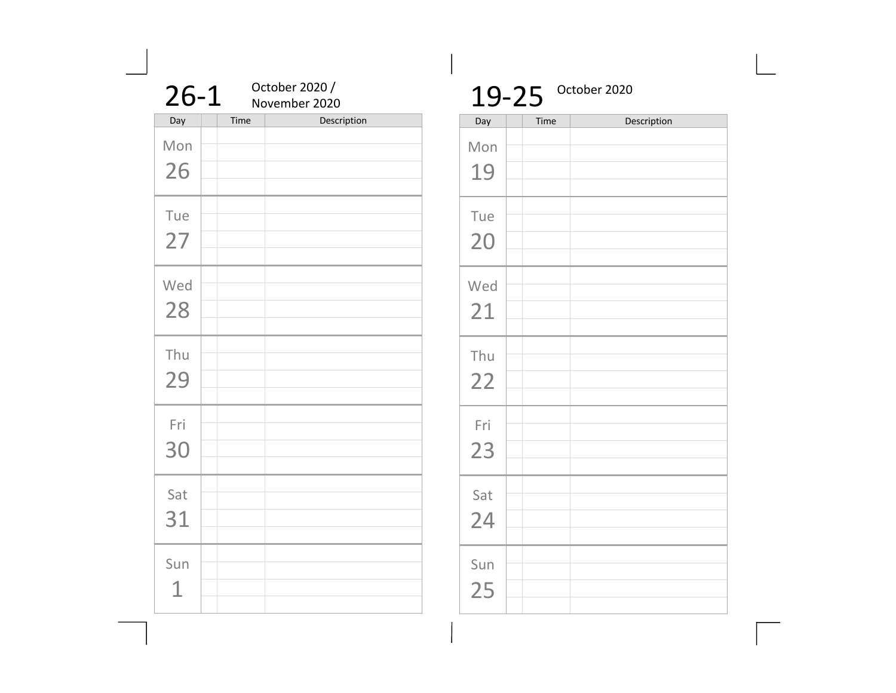| $26 - 1$  |      | October 2020 /<br>November 2020 |
|-----------|------|---------------------------------|
| Day       | Time | Description                     |
| Mon<br>26 |      |                                 |
|           |      |                                 |
| Tue       |      |                                 |
| 27        |      |                                 |
|           |      |                                 |
|           |      |                                 |
| Wed       |      |                                 |
| 28        |      |                                 |
|           |      |                                 |
| Thu       |      |                                 |
|           |      |                                 |
| 29        |      |                                 |
|           |      |                                 |
| Fri       |      |                                 |
| 30        |      |                                 |
|           |      |                                 |
|           |      |                                 |
| Sat       |      |                                 |
| 31        |      |                                 |
|           |      |                                 |
| Sun       |      |                                 |
|           |      |                                 |
| 1         |      |                                 |
|           |      |                                 |

#### $19-25$  October 2020 Time Description Mon 19 Tue 20 Wed 21 a ka

| Thu<br>22 |  |  |  |  |  |
|-----------|--|--|--|--|--|
| Fri<br>23 |  |  |  |  |  |
| Sat<br>24 |  |  |  |  |  |
| Sun       |  |  |  |  |  |

25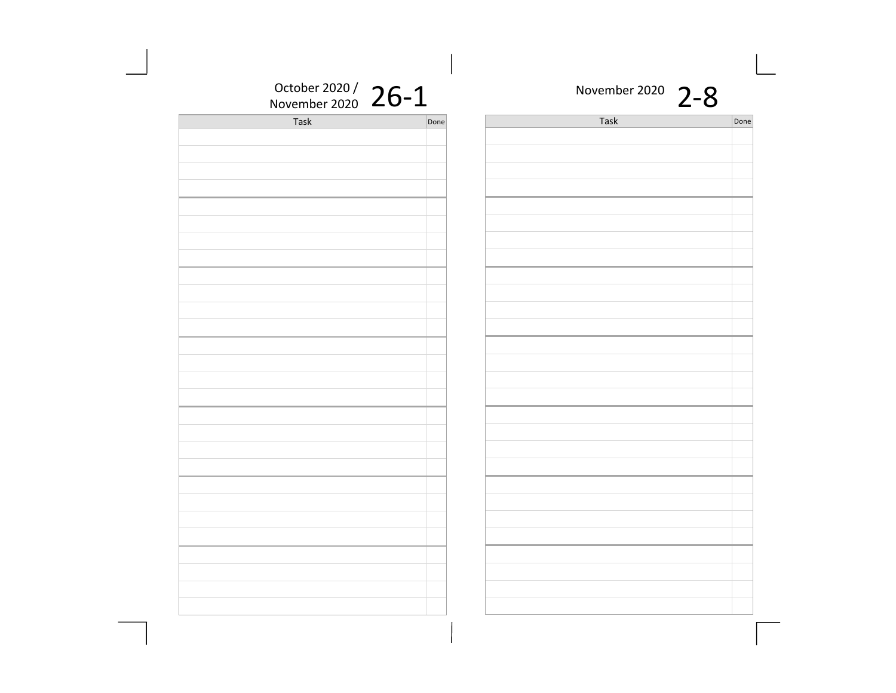| Task | Done | Task | Done |
|------|------|------|------|
|      |      |      |      |
|      |      |      |      |
|      |      |      |      |
|      |      |      |      |
|      |      |      |      |
|      |      |      |      |
|      |      |      |      |
|      |      |      |      |
|      |      |      |      |
|      |      |      |      |
|      |      |      |      |
|      |      |      |      |
|      |      |      |      |
|      |      |      |      |
|      |      |      |      |
|      |      |      |      |
|      |      |      |      |
|      |      |      |      |
|      |      |      |      |
|      |      |      |      |
|      |      |      |      |
|      |      |      |      |
|      |      |      |      |
|      |      |      |      |
|      |      |      |      |
|      |      |      |      |
|      |      |      |      |
|      |      |      |      |
|      |      |      |      |
|      |      |      |      |
|      |      |      |      |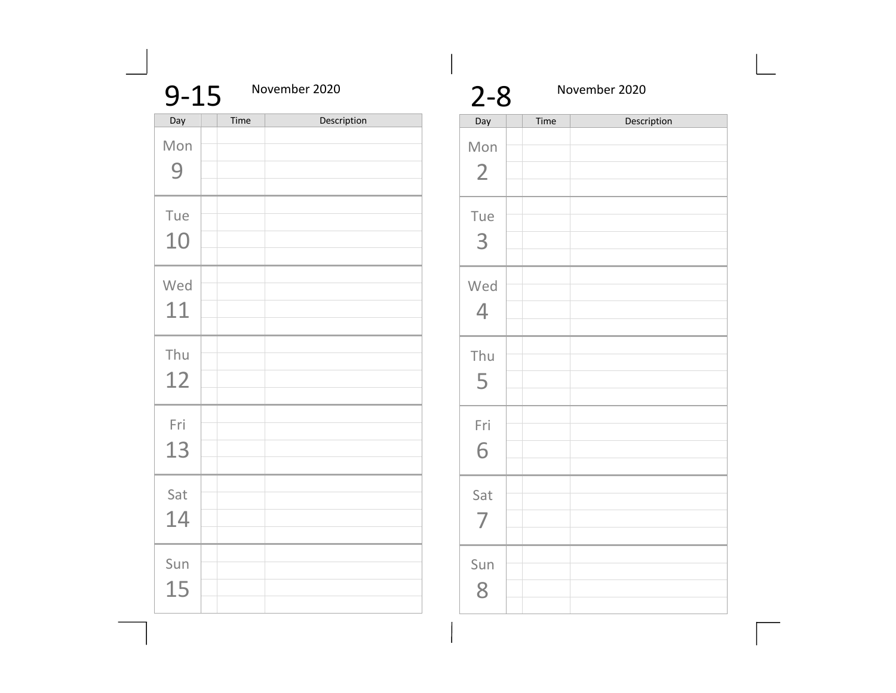| $9 - 15$  |      | November 2020 |
|-----------|------|---------------|
| Day       | Time | Description   |
| Mon<br>9  |      |               |
| Tue<br>10 |      |               |
| Wed<br>11 |      |               |
| Thu<br>12 |      |               |
| Fri<br>13 |      |               |
| Sat<br>14 |      |               |
| Sun<br>15 |      |               |

| $2 - 8$               |      | November 2020 |  |  |  |
|-----------------------|------|---------------|--|--|--|
| Day                   | Time | Description   |  |  |  |
| Mon<br>$\overline{2}$ |      |               |  |  |  |
| Tue<br>3              |      |               |  |  |  |
| Wed<br>$\overline{4}$ |      |               |  |  |  |
| Thu<br>5              |      |               |  |  |  |
| Fri<br>6              |      |               |  |  |  |
| Sat<br>$\overline{7}$ |      |               |  |  |  |
| Sun<br>8              |      |               |  |  |  |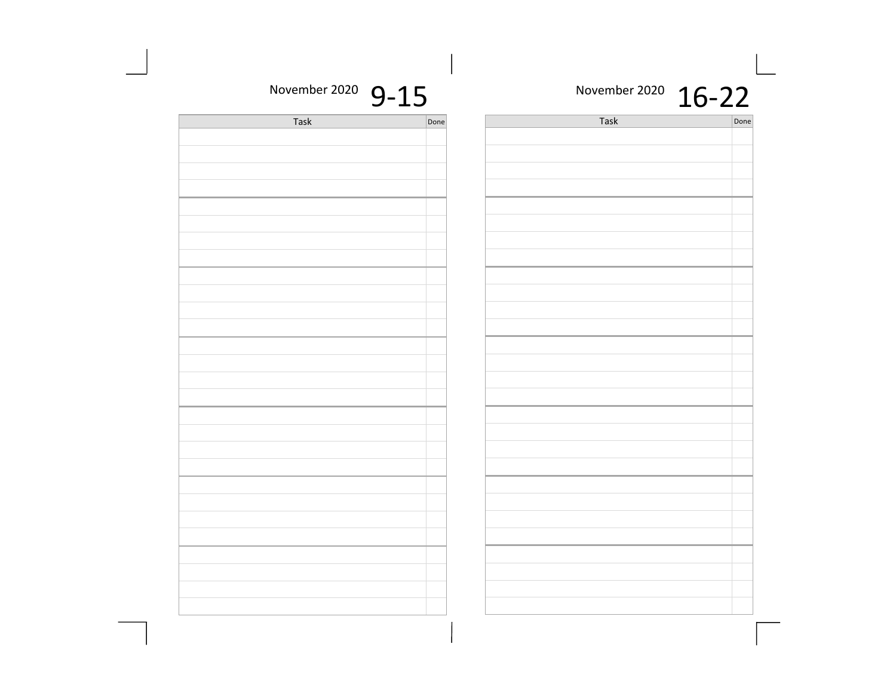| November 2020 16-22 |      |      | November 2020 $9-15$ |  |
|---------------------|------|------|----------------------|--|
| Done                | Task | Done | Task                 |  |
|                     |      |      |                      |  |
|                     |      |      |                      |  |
|                     |      |      |                      |  |
|                     |      |      |                      |  |
|                     |      |      |                      |  |
|                     |      |      |                      |  |
|                     |      |      |                      |  |
|                     |      |      |                      |  |
|                     |      |      |                      |  |
|                     |      |      |                      |  |
|                     |      |      |                      |  |
|                     |      |      |                      |  |
|                     |      |      |                      |  |
|                     |      |      |                      |  |
|                     |      |      |                      |  |
|                     |      |      |                      |  |
|                     |      |      |                      |  |
|                     |      |      |                      |  |
|                     |      |      |                      |  |
|                     |      |      |                      |  |
|                     |      |      |                      |  |
|                     |      |      |                      |  |
|                     |      |      |                      |  |
|                     |      |      |                      |  |
|                     |      |      |                      |  |
|                     |      |      |                      |  |
|                     |      |      |                      |  |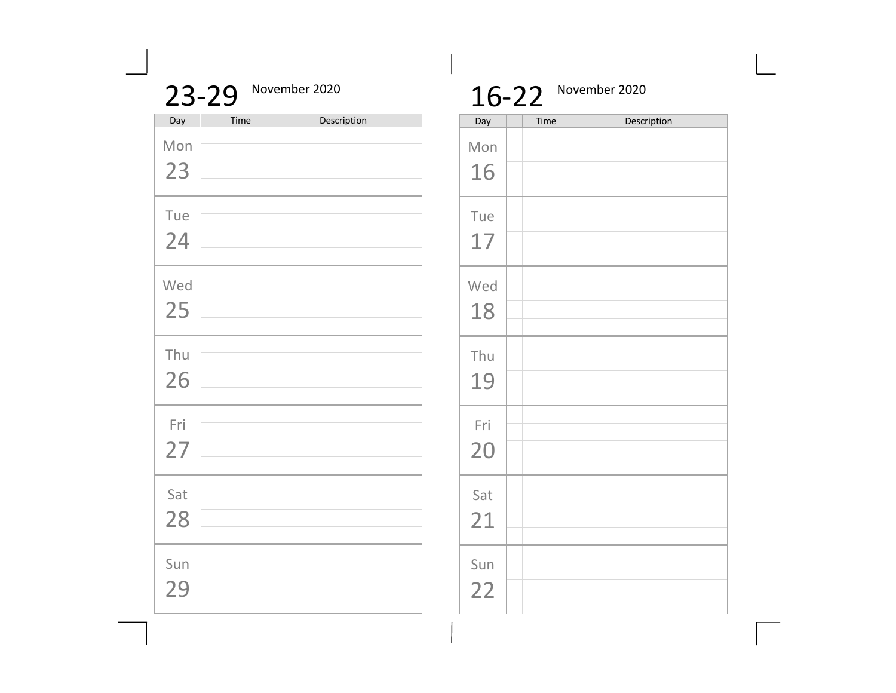|     | 23-29 | November 2020 |
|-----|-------|---------------|
| Day | Time  | Description   |
| Mon |       |               |
| 23  |       |               |
| Tue |       |               |
| 24  |       |               |
| Wed |       |               |
| 25  |       |               |
|     |       |               |
| Thu |       |               |
| 26  |       |               |
|     |       |               |
| Fri |       |               |
| 27  |       |               |
|     |       |               |
| Sat |       |               |
| 28  |       |               |
|     |       |               |
| Sun |       |               |
| 29  |       |               |
|     |       |               |

## 16-22 November 2020

| Day       | Time | Description |
|-----------|------|-------------|
| Mon<br>16 |      |             |
| Tue<br>17 |      |             |
| Wed<br>18 |      |             |
| Thu<br>19 |      |             |
| Fri<br>20 |      |             |
| Sat<br>21 |      |             |
| Sun<br>22 |      |             |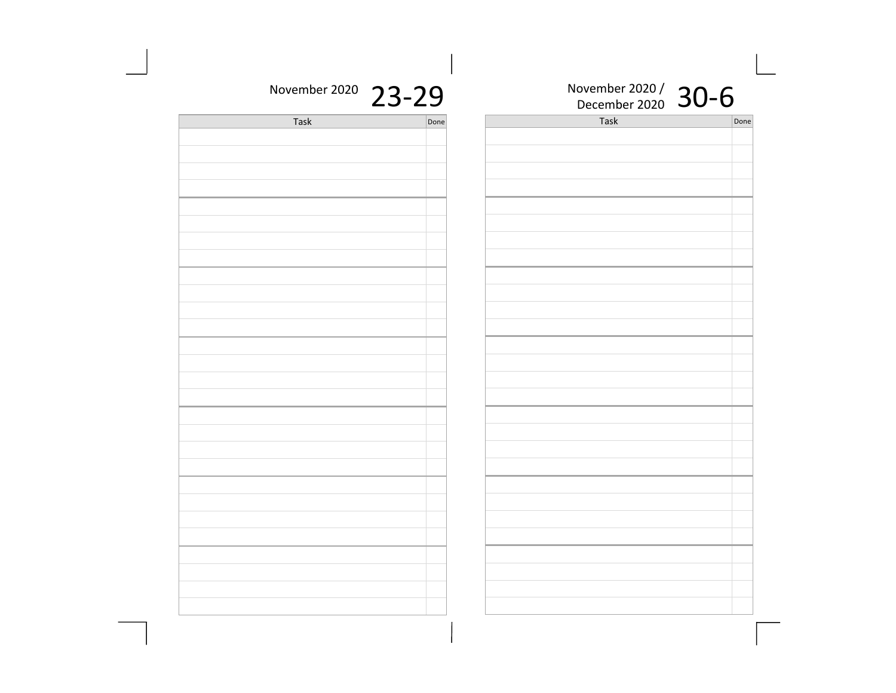| November 2020 23-29 |      | $\overline{1}$<br>November 2020 / $30-6$ |      |
|---------------------|------|------------------------------------------|------|
| Task                | Done | Task                                     | Done |
|                     |      |                                          |      |
|                     |      |                                          |      |
|                     |      |                                          |      |
|                     |      |                                          |      |
|                     |      |                                          |      |
|                     |      |                                          |      |
|                     |      |                                          |      |
|                     |      |                                          |      |
|                     |      |                                          |      |
|                     |      |                                          |      |
|                     |      |                                          |      |
|                     |      |                                          |      |
|                     |      |                                          |      |
|                     |      |                                          |      |
|                     |      |                                          |      |
|                     |      |                                          |      |
|                     |      |                                          |      |
|                     |      |                                          |      |
|                     |      |                                          |      |
|                     |      |                                          |      |
|                     |      |                                          |      |
|                     |      |                                          |      |
|                     |      |                                          |      |
|                     |      |                                          |      |
|                     |      |                                          |      |
|                     |      |                                          |      |
|                     |      |                                          |      |
|                     |      |                                          |      |
|                     |      |                                          |      |
|                     |      |                                          |      |
|                     |      |                                          |      |
|                     |      |                                          |      |

 $\overline{\phantom{a}}$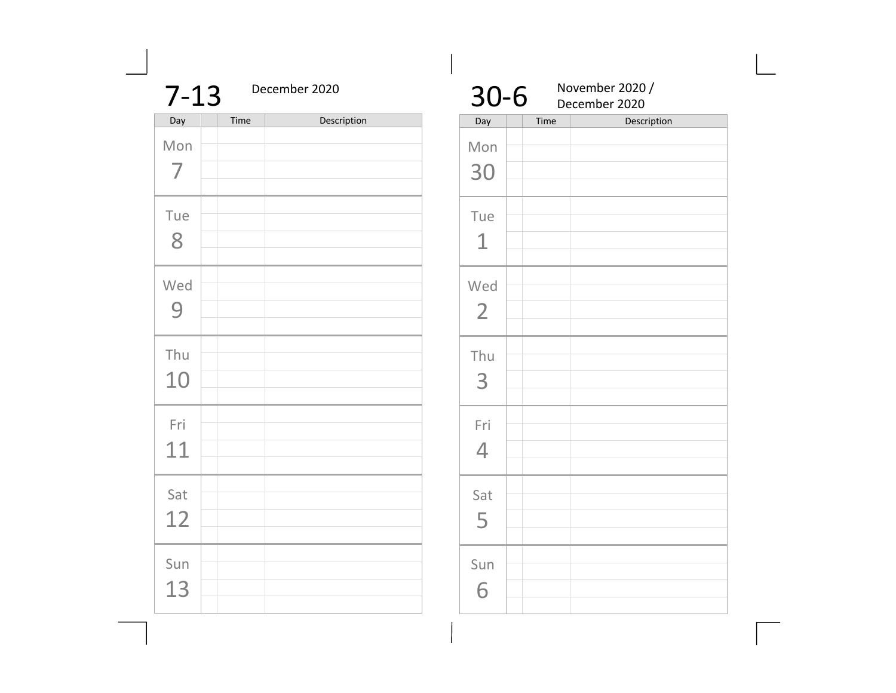| $7 - 13$  |      | December 2020 |  |  |  |  |
|-----------|------|---------------|--|--|--|--|
| Day       | Time | Description   |  |  |  |  |
| Mon<br>7  |      |               |  |  |  |  |
| Tue<br>8  |      |               |  |  |  |  |
| Wed<br>9  |      |               |  |  |  |  |
| Thu<br>10 |      |               |  |  |  |  |
| Fri<br>11 |      |               |  |  |  |  |
| Sat<br>12 |      |               |  |  |  |  |
| Sun<br>13 |      |               |  |  |  |  |

| $30 - 6$              | November 2020 /<br>December 2020 |             |  |
|-----------------------|----------------------------------|-------------|--|
| Day                   | Time                             | Description |  |
| Mon<br>30             |                                  |             |  |
| Tue<br>$\overline{1}$ |                                  |             |  |
| Wed<br>$\overline{2}$ |                                  |             |  |
| Thu<br>3              |                                  |             |  |
| Fri<br>$\overline{4}$ |                                  |             |  |
| Sat<br>5              |                                  |             |  |
| Sun<br>հ              |                                  |             |  |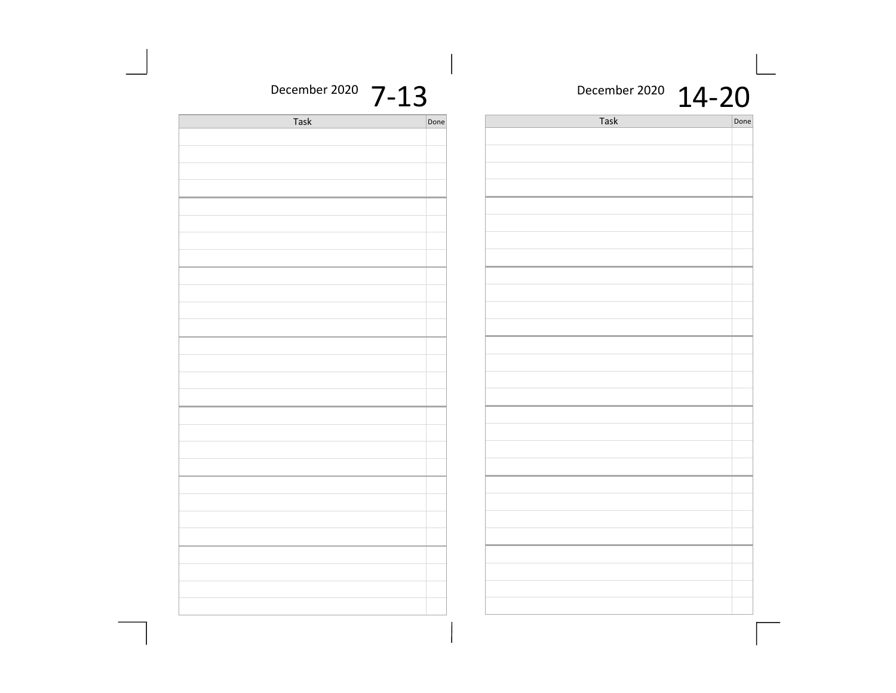| December 2020 7-13 |      | December 2020 14-20 |      |
|--------------------|------|---------------------|------|
| Task               | Done | Task                | Done |
|                    |      |                     |      |
|                    |      |                     |      |
|                    |      |                     |      |
|                    |      |                     |      |
|                    |      |                     |      |
|                    |      |                     |      |
|                    |      |                     |      |
|                    |      |                     |      |
|                    |      |                     |      |
|                    |      |                     |      |
|                    |      |                     |      |
|                    |      |                     |      |
|                    |      |                     |      |
|                    |      |                     |      |
|                    |      |                     |      |
|                    |      |                     |      |
|                    |      |                     |      |
|                    |      |                     |      |
|                    |      |                     |      |
|                    |      |                     |      |
|                    |      |                     |      |
|                    |      |                     |      |
|                    |      |                     |      |
|                    |      |                     |      |
|                    |      |                     |      |
|                    |      |                     |      |
|                    |      |                     |      |
|                    |      |                     |      |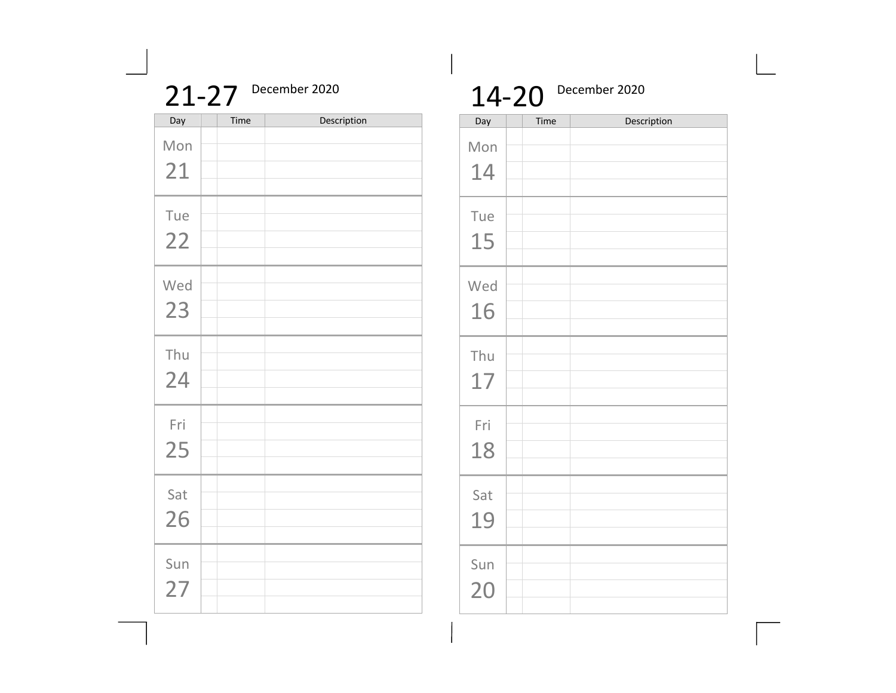|           | $21 - 27$ | December 2020 |
|-----------|-----------|---------------|
| Day       | Time      | Description   |
| Mon       |           |               |
| 21        |           |               |
| Tue<br>22 |           |               |
| Wed       |           |               |
| 23        |           |               |
| Thu       |           |               |
| 24        |           |               |
| Fri<br>25 |           |               |
|           |           |               |
| Sat<br>26 |           |               |
|           |           |               |
| Sun<br>27 |           |               |
|           |           |               |

## 14-20 December 2020

| Day       | Time | Description |
|-----------|------|-------------|
| Mon<br>14 |      |             |
| Tue<br>15 |      |             |
| Wed<br>16 |      |             |
| Thu<br>17 |      |             |
| Fri<br>18 |      |             |
| Sat<br>19 |      |             |
| Sun<br>20 |      |             |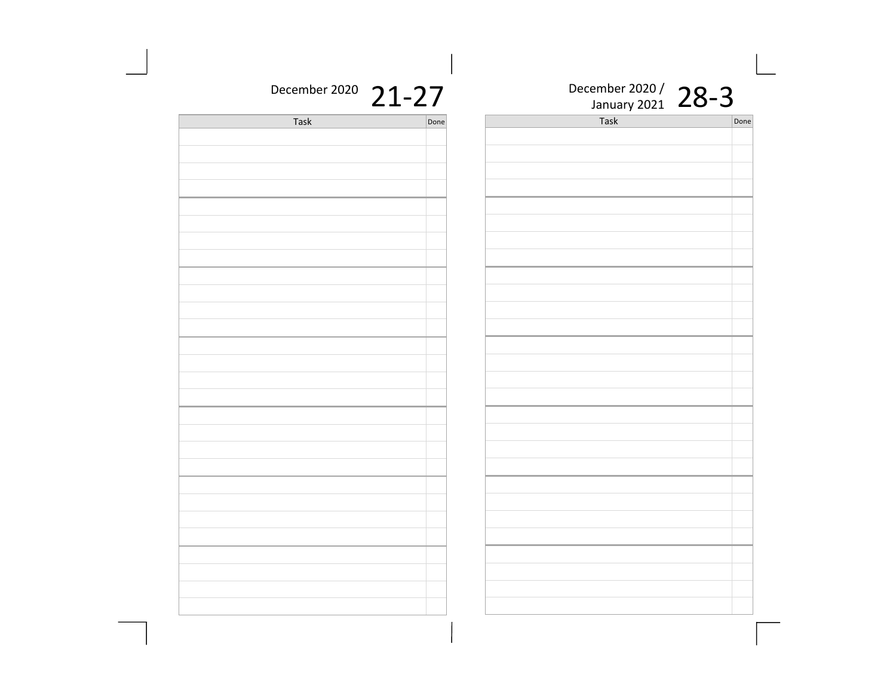| December 2020 21-27 |      | J. | December 2020 / 28-3 |      |
|---------------------|------|----|----------------------|------|
| Task                | Done |    | Task                 | Done |
|                     |      |    |                      |      |
|                     |      |    |                      |      |
|                     |      |    |                      |      |
|                     |      |    |                      |      |
|                     |      |    |                      |      |
|                     |      |    |                      |      |
|                     |      |    |                      |      |
|                     |      |    |                      |      |
|                     |      |    |                      |      |
|                     |      |    |                      |      |
|                     |      |    |                      |      |
|                     |      |    |                      |      |
|                     |      |    |                      |      |
|                     |      |    |                      |      |
|                     |      |    |                      |      |
|                     |      |    |                      |      |
|                     |      |    |                      |      |
|                     |      |    |                      |      |
|                     |      |    |                      |      |
|                     |      |    |                      |      |
|                     |      |    |                      |      |
|                     |      |    |                      |      |
|                     |      |    |                      |      |
|                     |      |    |                      |      |
|                     |      |    |                      |      |
|                     |      |    |                      |      |
|                     |      |    |                      |      |
|                     |      |    |                      |      |
|                     |      |    |                      |      |
|                     |      |    |                      |      |
|                     |      |    |                      |      |